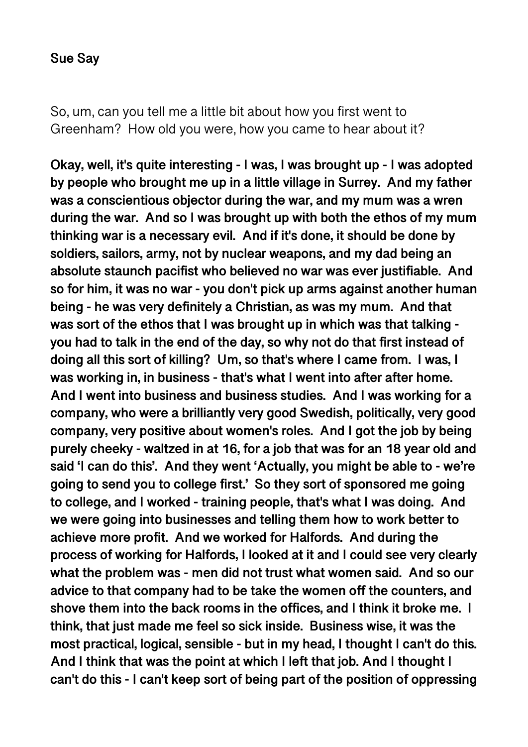So, um, can you tell me a little bit about how you first went to Greenham? How old you were, how you came to hear about it?

**Okay, well, it's quite interesting - I was, I was brought up - I was adopted by people who brought me up in a little village in Surrey. And my father was a conscientious objector during the war, and my mum was a wren during the war. And so I was brought up with both the ethos of my mum thinking war is a necessary evil. And if it's done, it should be done by soldiers, sailors, army, not by nuclear weapons, and my dad being an absolute staunch pacifist who believed no war was ever justifiable. And so for him, it was no war - you don't pick up arms against another human being - he was very definitely a Christian, as was my mum. And that was sort of the ethos that I was brought up in which was that talking you had to talk in the end of the day, so why not do that first instead of doing all this sort of killing? Um, so that's where I came from. I was, I was working in, in business - that's what I went into after after home. And I went into business and business studies. And I was working for a company, who were a brilliantly very good Swedish, politically, very good company, very positive about women's roles. And I got the job by being purely cheeky - waltzed in at 16, for a job that was for an 18 year old and said 'I can do this'. And they went 'Actually, you might be able to - we're going to send you to college first.' So they sort of sponsored me going to college, and I worked - training people, that's what I was doing. And we were going into businesses and telling them how to work better to achieve more profit. And we worked for Halfords. And during the process of working for Halfords, I looked at it and I could see very clearly what the problem was - men did not trust what women said. And so our advice to that company had to be take the women off the counters, and shove them into the back rooms in the offices, and I think it broke me. I think, that just made me feel so sick inside. Business wise, it was the most practical, logical, sensible - but in my head, I thought I can't do this. And I think that was the point at which I left that job. And I thought I can't do this - I can't keep sort of being part of the position of oppressing**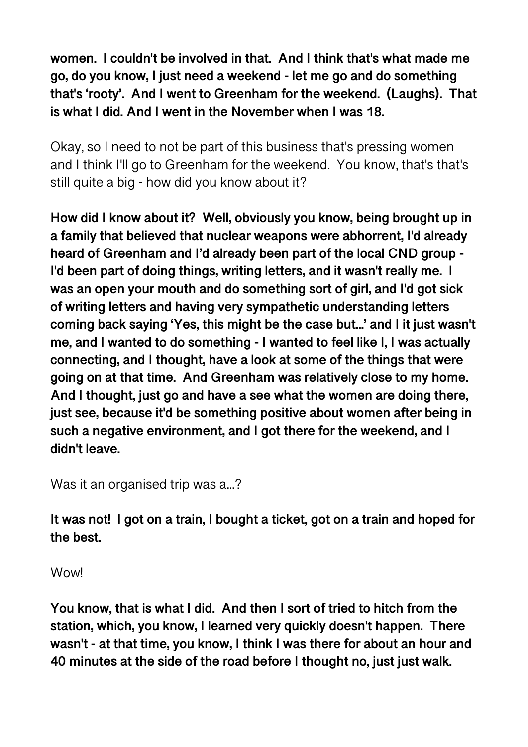**women. I couldn't be involved in that. And I think that's what made me go, do you know, I just need a weekend - let me go and do something that's 'rooty'. And I went to Greenham for the weekend. (Laughs). That is what I did. And I went in the November when I was 18.** 

Okay, so I need to not be part of this business that's pressing women and I think I'll go to Greenham for the weekend. You know, that's that's still quite a big - how did you know about it?

**How did I know about it? Well, obviously you know, being brought up in a family that believed that nuclear weapons were abhorrent, I'd already heard of Greenham and I'd already been part of the local CND group - I'd been part of doing things, writing letters, and it wasn't really me. I was an open your mouth and do something sort of girl, and I'd got sick of writing letters and having very sympathetic understanding letters coming back saying 'Yes, this might be the case but...' and I it just wasn't me, and I wanted to do something - I wanted to feel like I, I was actually connecting, and I thought, have a look at some of the things that were going on at that time. And Greenham was relatively close to my home. And I thought, just go and have a see what the women are doing there, just see, because it'd be something positive about women after being in such a negative environment, and I got there for the weekend, and I didn't leave.** 

Was it an organised trip was a...?

**It was not! I got on a train, I bought a ticket, got on a train and hoped for the best.** 

Wow!

**You know, that is what I did. And then I sort of tried to hitch from the station, which, you know, I learned very quickly doesn't happen. There wasn't - at that time, you know, I think I was there for about an hour and 40 minutes at the side of the road before I thought no, just just walk.**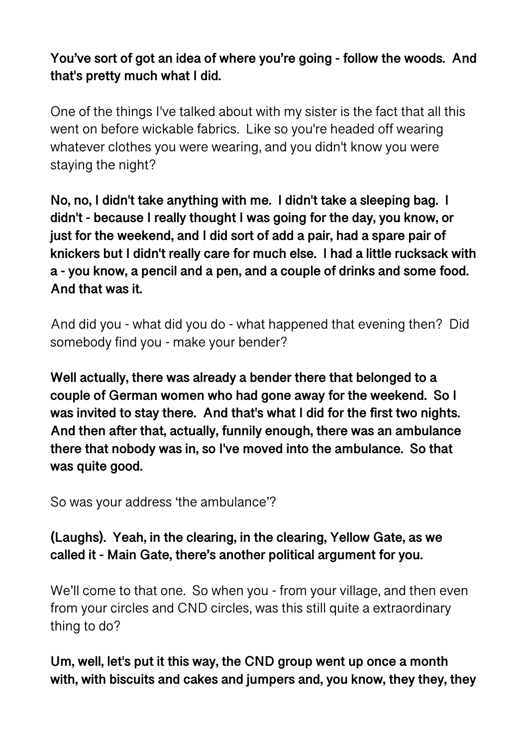**You've sort of got an idea of where you're going - follow the woods. And that's pretty much what I did.** 

One of the things I've talked about with my sister is the fact that all this went on before wickable fabrics. Like so you're headed off wearing whatever clothes you were wearing, and you didn't know you were staying the night?

**No, no, I didn't take anything with me. I didn't take a sleeping bag. I didn't - because I really thought I was going for the day, you know, or just for the weekend, and I did sort of add a pair, had a spare pair of knickers but I didn't really care for much else. I had a little rucksack with a - you know, a pencil and a pen, and a couple of drinks and some food. And that was it.** 

And did you - what did you do - what happened that evening then? Did somebody find you - make your bender?

**Well actually, there was already a bender there that belonged to a couple of German women who had gone away for the weekend. So I was invited to stay there. And that's what I did for the first two nights. And then after that, actually, funnily enough, there was an ambulance there that nobody was in, so I've moved into the ambulance. So that was quite good.** 

So was your address 'the ambulance'?

**(Laughs). Yeah, in the clearing, in the clearing, Yellow Gate, as we called it - Main Gate, there's another political argument for you.** 

We'll come to that one. So when you - from your village, and then even from your circles and CND circles, was this still quite a extraordinary thing to do?

**Um, well, let's put it this way, the CND group went up once a month with, with biscuits and cakes and jumpers and, you know, they they, they**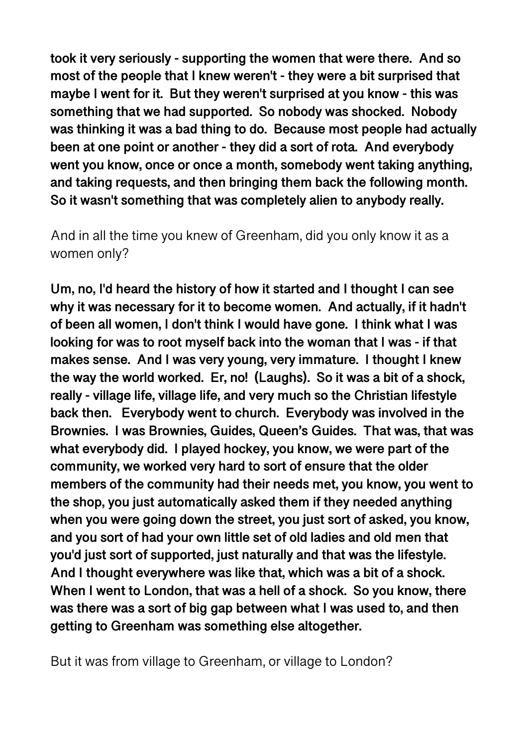**took it very seriously - supporting the women that were there. And so most of the people that I knew weren't - they were a bit surprised that maybe I went for it. But they weren't surprised at you know - this was something that we had supported. So nobody was shocked. Nobody was thinking it was a bad thing to do. Because most people had actually been at one point or another - they did a sort of rota. And everybody went you know, once or once a month, somebody went taking anything, and taking requests, and then bringing them back the following month. So it wasn't something that was completely alien to anybody really.** 

And in all the time you knew of Greenham, did you only know it as a women only?

**Um, no, I'd heard the history of how it started and I thought I can see why it was necessary for it to become women. And actually, if it hadn't of been all women, I don't think I would have gone. I think what I was looking for was to root myself back into the woman that I was - if that makes sense. And I was very young, very immature. I thought I knew the way the world worked. Er, no! (Laughs). So it was a bit of a shock, really - village life, village life, and very much so the Christian lifestyle back then. Everybody went to church. Everybody was involved in the Brownies. I was Brownies, Guides, Queen's Guides. That was, that was what everybody did. I played hockey, you know, we were part of the community, we worked very hard to sort of ensure that the older members of the community had their needs met, you know, you went to the shop, you just automatically asked them if they needed anything when you were going down the street, you just sort of asked, you know, and you sort of had your own little set of old ladies and old men that you'd just sort of supported, just naturally and that was the lifestyle. And I thought everywhere was like that, which was a bit of a shock. When I went to London, that was a hell of a shock. So you know, there was there was a sort of big gap between what I was used to, and then getting to Greenham was something else altogether.** 

But it was from village to Greenham, or village to London?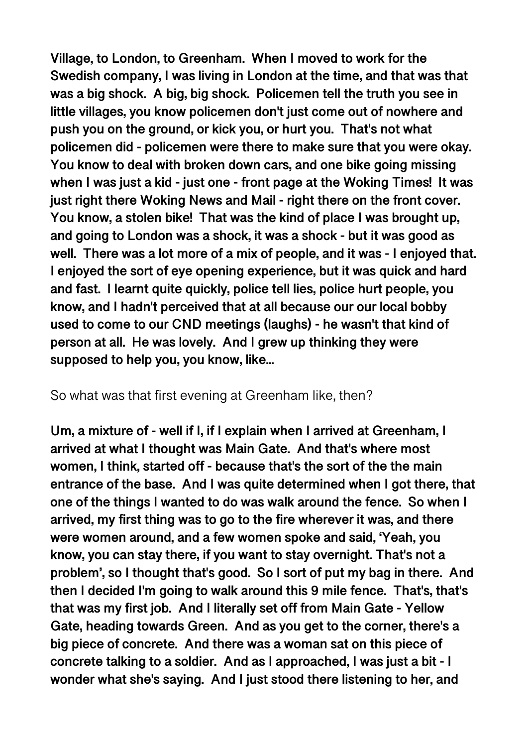**Village, to London, to Greenham. When I moved to work for the Swedish company, I was living in London at the time, and that was that was a big shock. A big, big shock. Policemen tell the truth you see in little villages, you know policemen don't just come out of nowhere and push you on the ground, or kick you, or hurt you. That's not what policemen did - policemen were there to make sure that you were okay. You know to deal with broken down cars, and one bike going missing when I was just a kid - just one - front page at the Woking Times! It was just right there Woking News and Mail - right there on the front cover. You know, a stolen bike! That was the kind of place I was brought up, and going to London was a shock, it was a shock - but it was good as well. There was a lot more of a mix of people, and it was - I enjoyed that. I enjoyed the sort of eye opening experience, but it was quick and hard and fast. I learnt quite quickly, police tell lies, police hurt people, you know, and I hadn't perceived that at all because our our local bobby used to come to our CND meetings (laughs) - he wasn't that kind of person at all. He was lovely. And I grew up thinking they were supposed to help you, you know, like...** 

#### So what was that first evening at Greenham like, then?

**Um, a mixture of - well if I, if I explain when I arrived at Greenham, I arrived at what I thought was Main Gate. And that's where most women, I think, started off - because that's the sort of the the main entrance of the base. And I was quite determined when I got there, that one of the things I wanted to do was walk around the fence. So when I arrived, my first thing was to go to the fire wherever it was, and there were women around, and a few women spoke and said, 'Yeah, you know, you can stay there, if you want to stay overnight. That's not a problem', so I thought that's good. So I sort of put my bag in there. And then I decided I'm going to walk around this 9 mile fence. That's, that's that was my first job. And I literally set off from Main Gate - Yellow Gate, heading towards Green. And as you get to the corner, there's a big piece of concrete. And there was a woman sat on this piece of concrete talking to a soldier. And as I approached, I was just a bit - I wonder what she's saying. And I just stood there listening to her, and**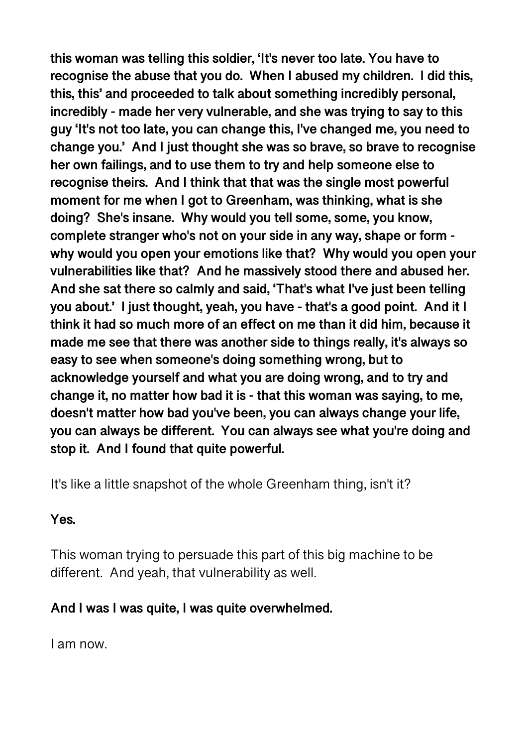**this woman was telling this soldier, 'It's never too late. You have to recognise the abuse that you do. When I abused my children. I did this, this, this' and proceeded to talk about something incredibly personal, incredibly - made her very vulnerable, and she was trying to say to this guy 'It's not too late, you can change this, I've changed me, you need to change you.' And I just thought she was so brave, so brave to recognise her own failings, and to use them to try and help someone else to recognise theirs. And I think that that was the single most powerful moment for me when I got to Greenham, was thinking, what is she doing? She's insane. Why would you tell some, some, you know, complete stranger who's not on your side in any way, shape or form why would you open your emotions like that? Why would you open your vulnerabilities like that? And he massively stood there and abused her. And she sat there so calmly and said, 'That's what I've just been telling you about.' I just thought, yeah, you have - that's a good point. And it I think it had so much more of an effect on me than it did him, because it made me see that there was another side to things really, it's always so easy to see when someone's doing something wrong, but to acknowledge yourself and what you are doing wrong, and to try and change it, no matter how bad it is - that this woman was saying, to me, doesn't matter how bad you've been, you can always change your life, you can always be different. You can always see what you're doing and stop it. And I found that quite powerful.** 

It's like a little snapshot of the whole Greenham thing, isn't it?

# **Yes.**

This woman trying to persuade this part of this big machine to be different. And yeah, that vulnerability as well.

# **And I was I was quite, I was quite overwhelmed.**

I am now.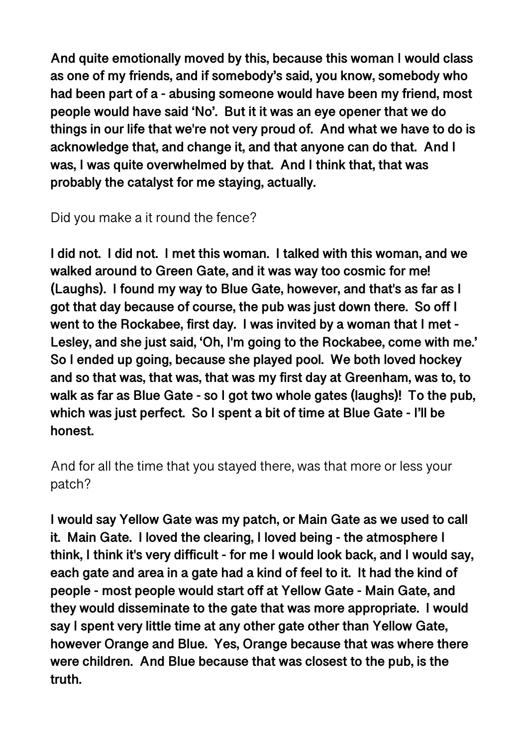**And quite emotionally moved by this, because this woman I would class as one of my friends, and if somebody's said, you know, somebody who had been part of a - abusing someone would have been my friend, most people would have said 'No'. But it it was an eye opener that we do things in our life that we're not very proud of. And what we have to do is acknowledge that, and change it, and that anyone can do that. And I was, I was quite overwhelmed by that. And I think that, that was probably the catalyst for me staying, actually.** 

Did you make a it round the fence?

**I did not. I did not. I met this woman. I talked with this woman, and we walked around to Green Gate, and it was way too cosmic for me! (Laughs). I found my way to Blue Gate, however, and that's as far as I got that day because of course, the pub was just down there. So off I went to the Rockabee, first day. I was invited by a woman that I met - Lesley, and she just said, 'Oh, I'm going to the Rockabee, come with me.' So I ended up going, because she played pool. We both loved hockey and so that was, that was, that was my first day at Greenham, was to, to walk as far as Blue Gate - so I got two whole gates (laughs)! To the pub, which was just perfect. So I spent a bit of time at Blue Gate - I'll be honest.** 

And for all the time that you stayed there, was that more or less your patch?

**I would say Yellow Gate was my patch, or Main Gate as we used to call it. Main Gate. I loved the clearing, I loved being - the atmosphere I think, I think it's very difficult - for me I would look back, and I would say, each gate and area in a gate had a kind of feel to it. It had the kind of people - most people would start off at Yellow Gate - Main Gate, and they would disseminate to the gate that was more appropriate. I would say I spent very little time at any other gate other than Yellow Gate, however Orange and Blue. Yes, Orange because that was where there were children. And Blue because that was closest to the pub, is the truth.**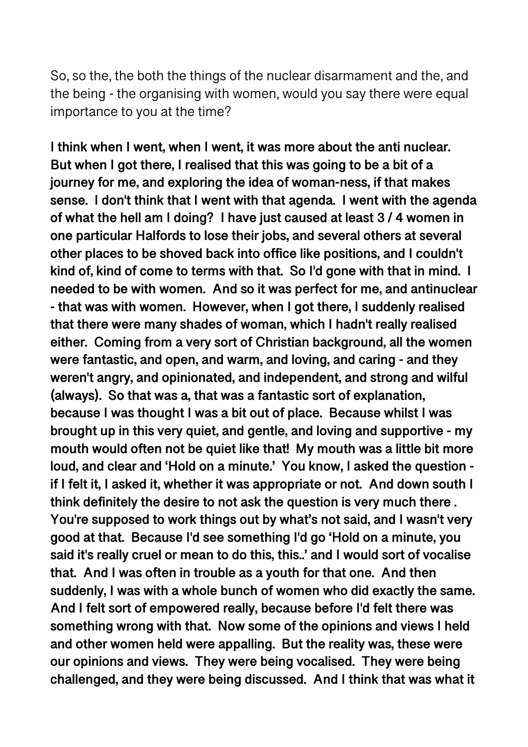So, so the, the both the things of the nuclear disarmament and the, and the being - the organising with women, would you say there were equal importance to you at the time?

**I think when I went, when I went, it was more about the anti nuclear. But when I got there, I realised that this was going to be a bit of a journey for me, and exploring the idea of woman-ness, if that makes sense. I don't think that I went with that agenda. I went with the agenda of what the hell am I doing? I have just caused at least 3 / 4 women in one particular Halfords to lose their jobs, and several others at several other places to be shoved back into office like positions, and I couldn't kind of, kind of come to terms with that. So I'd gone with that in mind. I needed to be with women. And so it was perfect for me, and antinuclear - that was with women. However, when I got there, I suddenly realised that there were many shades of woman, which I hadn't really realised either. Coming from a very sort of Christian background, all the women were fantastic, and open, and warm, and loving, and caring - and they weren't angry, and opinionated, and independent, and strong and wilful (always). So that was a, that was a fantastic sort of explanation, because I was thought I was a bit out of place. Because whilst I was brought up in this very quiet, and gentle, and loving and supportive - my mouth would often not be quiet like that! My mouth was a little bit more loud, and clear and 'Hold on a minute.' You know, I asked the question if I felt it, I asked it, whether it was appropriate or not. And down south I think definitely the desire to not ask the question is very much there . You're supposed to work things out by what's not said, and I wasn't very good at that. Because I'd see something I'd go 'Hold on a minute, you said it's really cruel or mean to do this, this..' and I would sort of vocalise that. And I was often in trouble as a youth for that one. And then suddenly, I was with a whole bunch of women who did exactly the same. And I felt sort of empowered really, because before I'd felt there was something wrong with that. Now some of the opinions and views I held and other women held were appalling. But the reality was, these were our opinions and views. They were being vocalised. They were being challenged, and they were being discussed. And I think that was what it**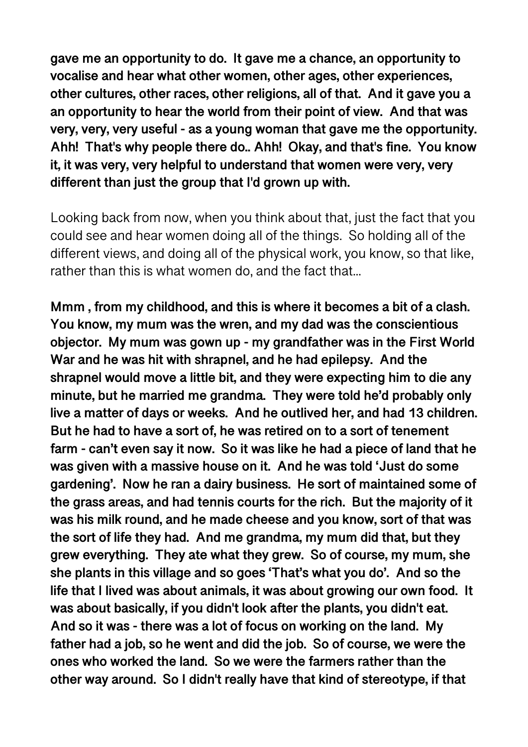**gave me an opportunity to do. It gave me a chance, an opportunity to vocalise and hear what other women, other ages, other experiences, other cultures, other races, other religions, all of that. And it gave you a an opportunity to hear the world from their point of view. And that was very, very, very useful - as a young woman that gave me the opportunity. Ahh! That's why people there do.. Ahh! Okay, and that's fine. You know it, it was very, very helpful to understand that women were very, very different than just the group that I'd grown up with.** 

Looking back from now, when you think about that, just the fact that you could see and hear women doing all of the things. So holding all of the different views, and doing all of the physical work, you know, so that like, rather than this is what women do, and the fact that...

**Mmm , from my childhood, and this is where it becomes a bit of a clash. You know, my mum was the wren, and my dad was the conscientious objector. My mum was gown up - my grandfather was in the First World War and he was hit with shrapnel, and he had epilepsy. And the shrapnel would move a little bit, and they were expecting him to die any minute, but he married me grandma. They were told he'd probably only live a matter of days or weeks. And he outlived her, and had 13 children. But he had to have a sort of, he was retired on to a sort of tenement farm - can't even say it now. So it was like he had a piece of land that he was given with a massive house on it. And he was told 'Just do some gardening'. Now he ran a dairy business. He sort of maintained some of the grass areas, and had tennis courts for the rich. But the majority of it was his milk round, and he made cheese and you know, sort of that was the sort of life they had. And me grandma, my mum did that, but they grew everything. They ate what they grew. So of course, my mum, she she plants in this village and so goes 'That's what you do'. And so the life that I lived was about animals, it was about growing our own food. It was about basically, if you didn't look after the plants, you didn't eat. And so it was - there was a lot of focus on working on the land. My father had a job, so he went and did the job. So of course, we were the ones who worked the land. So we were the farmers rather than the other way around. So I didn't really have that kind of stereotype, if that**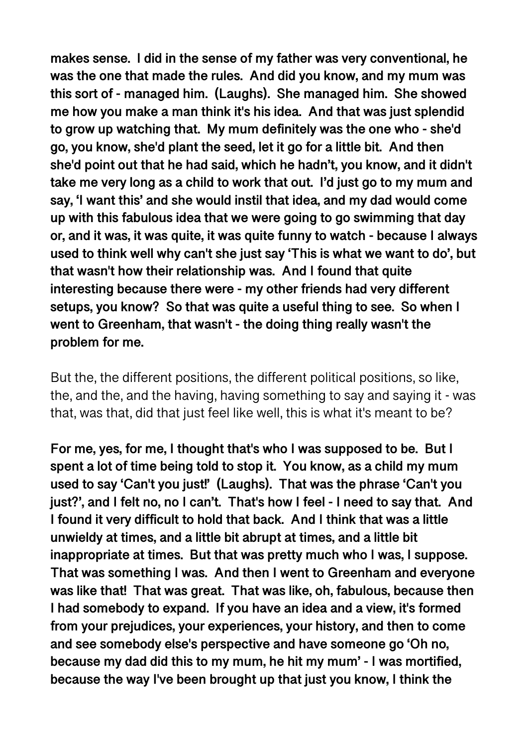**makes sense. I did in the sense of my father was very conventional, he was the one that made the rules. And did you know, and my mum was this sort of - managed him. (Laughs). She managed him. She showed me how you make a man think it's his idea. And that was just splendid to grow up watching that. My mum definitely was the one who - she'd go, you know, she'd plant the seed, let it go for a little bit. And then she'd point out that he had said, which he hadn't, you know, and it didn't take me very long as a child to work that out. I'd just go to my mum and say, 'I want this' and she would instil that idea, and my dad would come up with this fabulous idea that we were going to go swimming that day or, and it was, it was quite, it was quite funny to watch - because I always used to think well why can't she just say 'This is what we want to do', but that wasn't how their relationship was. And I found that quite interesting because there were - my other friends had very different setups, you know? So that was quite a useful thing to see. So when I went to Greenham, that wasn't - the doing thing really wasn't the problem for me.** 

But the, the different positions, the different political positions, so like, the, and the, and the having, having something to say and saying it - was that, was that, did that just feel like well, this is what it's meant to be?

**For me, yes, for me, I thought that's who I was supposed to be. But I spent a lot of time being told to stop it. You know, as a child my mum used to say 'Can't you just!' (Laughs). That was the phrase 'Can't you just?', and I felt no, no I can't. That's how I feel - I need to say that. And I found it very difficult to hold that back. And I think that was a little unwieldy at times, and a little bit abrupt at times, and a little bit inappropriate at times. But that was pretty much who I was, I suppose. That was something I was. And then I went to Greenham and everyone was like that! That was great. That was like, oh, fabulous, because then I had somebody to expand. If you have an idea and a view, it's formed from your prejudices, your experiences, your history, and then to come and see somebody else's perspective and have someone go 'Oh no, because my dad did this to my mum, he hit my mum' - I was mortified, because the way I've been brought up that just you know, I think the**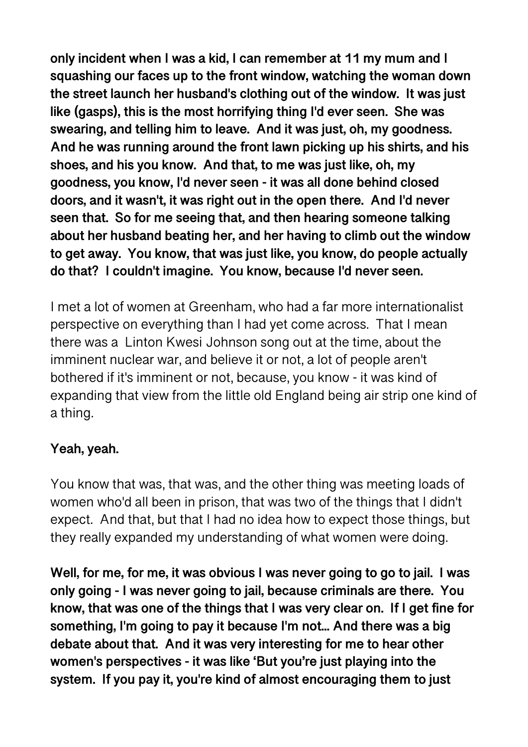**only incident when I was a kid, I can remember at 11 my mum and I squashing our faces up to the front window, watching the woman down the street launch her husband's clothing out of the window. It was just like (gasps), this is the most horrifying thing I'd ever seen. She was swearing, and telling him to leave. And it was just, oh, my goodness. And he was running around the front lawn picking up his shirts, and his shoes, and his you know. And that, to me was just like, oh, my goodness, you know, I'd never seen - it was all done behind closed doors, and it wasn't, it was right out in the open there. And I'd never seen that. So for me seeing that, and then hearing someone talking about her husband beating her, and her having to climb out the window to get away. You know, that was just like, you know, do people actually do that? I couldn't imagine. You know, because I'd never seen.** 

I met a lot of women at Greenham, who had a far more internationalist perspective on everything than I had yet come across. That I mean there was a Linton Kwesi Johnson song out at the time, about the imminent nuclear war, and believe it or not, a lot of people aren't bothered if it's imminent or not, because, you know - it was kind of expanding that view from the little old England being air strip one kind of a thing.

# **Yeah, yeah.**

You know that was, that was, and the other thing was meeting loads of women who'd all been in prison, that was two of the things that I didn't expect. And that, but that I had no idea how to expect those things, but they really expanded my understanding of what women were doing.

**Well, for me, for me, it was obvious I was never going to go to jail. I was only going - I was never going to jail, because criminals are there. You know, that was one of the things that I was very clear on. If I get fine for something, I'm going to pay it because I'm not... And there was a big debate about that. And it was very interesting for me to hear other women's perspectives - it was like 'But you're just playing into the system. If you pay it, you're kind of almost encouraging them to just**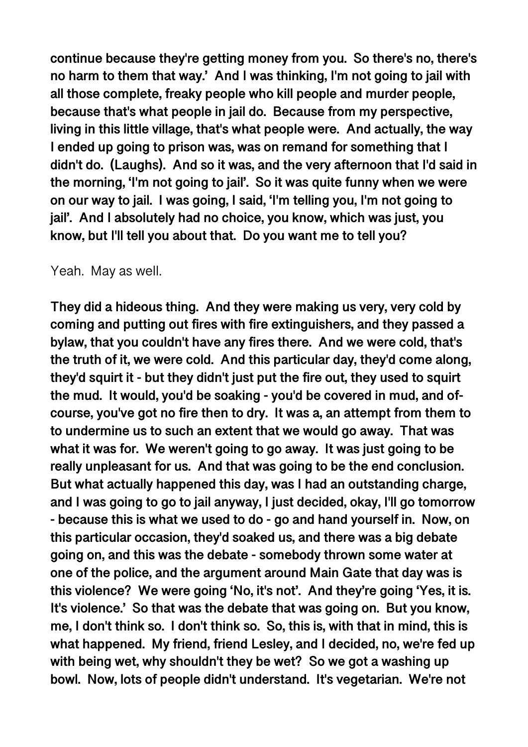**continue because they're getting money from you. So there's no, there's no harm to them that way.' And I was thinking, I'm not going to jail with all those complete, freaky people who kill people and murder people, because that's what people in jail do. Because from my perspective, living in this little village, that's what people were. And actually, the way I ended up going to prison was, was on remand for something that I didn't do. (Laughs). And so it was, and the very afternoon that I'd said in the morning, 'I'm not going to jail'. So it was quite funny when we were on our way to jail. I was going, I said, 'I'm telling you, I'm not going to jail'. And I absolutely had no choice, you know, which was just, you know, but I'll tell you about that. Do you want me to tell you?** 

#### Yeah. May as well.

**They did a hideous thing. And they were making us very, very cold by coming and putting out fires with fire extinguishers, and they passed a bylaw, that you couldn't have any fires there. And we were cold, that's the truth of it, we were cold. And this particular day, they'd come along, they'd squirt it - but they didn't just put the fire out, they used to squirt the mud. It would, you'd be soaking - you'd be covered in mud, and ofcourse, you've got no fire then to dry. It was a, an attempt from them to to undermine us to such an extent that we would go away. That was what it was for. We weren't going to go away. It was just going to be really unpleasant for us. And that was going to be the end conclusion. But what actually happened this day, was I had an outstanding charge, and I was going to go to jail anyway, I just decided, okay, I'll go tomorrow - because this is what we used to do - go and hand yourself in. Now, on this particular occasion, they'd soaked us, and there was a big debate going on, and this was the debate - somebody thrown some water at one of the police, and the argument around Main Gate that day was is this violence? We were going 'No, it's not'. And they're going 'Yes, it is. It's violence.' So that was the debate that was going on. But you know, me, I don't think so. I don't think so. So, this is, with that in mind, this is what happened. My friend, friend Lesley, and I decided, no, we're fed up with being wet, why shouldn't they be wet? So we got a washing up bowl. Now, lots of people didn't understand. It's vegetarian. We're not**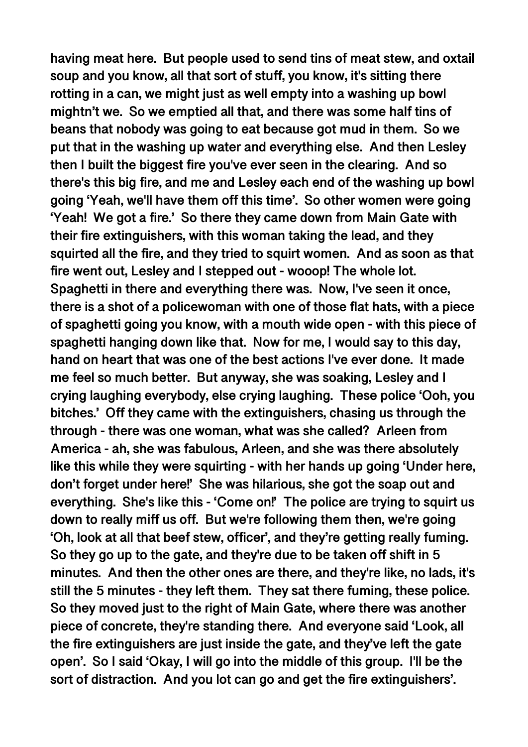**having meat here. But people used to send tins of meat stew, and oxtail soup and you know, all that sort of stuff, you know, it's sitting there rotting in a can, we might just as well empty into a washing up bowl mightn't we. So we emptied all that, and there was some half tins of beans that nobody was going to eat because got mud in them. So we put that in the washing up water and everything else. And then Lesley then I built the biggest fire you've ever seen in the clearing. And so there's this big fire, and me and Lesley each end of the washing up bowl going 'Yeah, we'll have them off this time'. So other women were going 'Yeah! We got a fire.' So there they came down from Main Gate with their fire extinguishers, with this woman taking the lead, and they squirted all the fire, and they tried to squirt women. And as soon as that fire went out, Lesley and I stepped out - wooop! The whole lot. Spaghetti in there and everything there was. Now, I've seen it once, there is a shot of a policewoman with one of those flat hats, with a piece of spaghetti going you know, with a mouth wide open - with this piece of spaghetti hanging down like that. Now for me, I would say to this day, hand on heart that was one of the best actions I've ever done. It made me feel so much better. But anyway, she was soaking, Lesley and I crying laughing everybody, else crying laughing. These police 'Ooh, you bitches.' Off they came with the extinguishers, chasing us through the through - there was one woman, what was she called? Arleen from America - ah, she was fabulous, Arleen, and she was there absolutely like this while they were squirting - with her hands up going 'Under here, don't forget under here!' She was hilarious, she got the soap out and everything. She's like this - 'Come on!' The police are trying to squirt us down to really miff us off. But we're following them then, we're going 'Oh, look at all that beef stew, officer', and they're getting really fuming. So they go up to the gate, and they're due to be taken off shift in 5 minutes. And then the other ones are there, and they're like, no lads, it's still the 5 minutes - they left them. They sat there fuming, these police. So they moved just to the right of Main Gate, where there was another piece of concrete, they're standing there. And everyone said 'Look, all the fire extinguishers are just inside the gate, and they've left the gate open'. So I said 'Okay, I will go into the middle of this group. I'll be the sort of distraction. And you lot can go and get the fire extinguishers'.**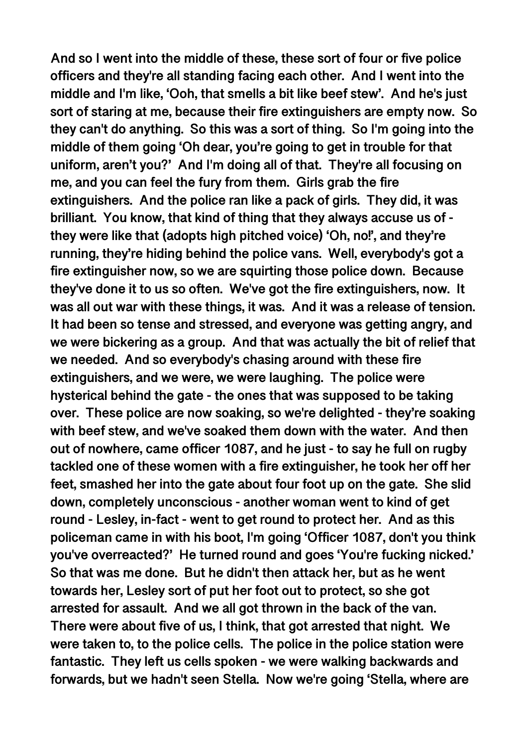**And so I went into the middle of these, these sort of four or five police officers and they're all standing facing each other. And I went into the middle and I'm like, 'Ooh, that smells a bit like beef stew'. And he's just sort of staring at me, because their fire extinguishers are empty now. So they can't do anything. So this was a sort of thing. So I'm going into the middle of them going 'Oh dear, you're going to get in trouble for that uniform, aren't you?' And I'm doing all of that. They're all focusing on me, and you can feel the fury from them. Girls grab the fire extinguishers. And the police ran like a pack of girls. They did, it was brilliant. You know, that kind of thing that they always accuse us of they were like that (adopts high pitched voice) 'Oh, no!', and they're running, they're hiding behind the police vans. Well, everybody's got a fire extinguisher now, so we are squirting those police down. Because they've done it to us so often. We've got the fire extinguishers, now. It was all out war with these things, it was. And it was a release of tension. It had been so tense and stressed, and everyone was getting angry, and we were bickering as a group. And that was actually the bit of relief that we needed. And so everybody's chasing around with these fire extinguishers, and we were, we were laughing. The police were hysterical behind the gate - the ones that was supposed to be taking over. These police are now soaking, so we're delighted - they're soaking with beef stew, and we've soaked them down with the water. And then out of nowhere, came officer 1087, and he just - to say he full on rugby tackled one of these women with a fire extinguisher, he took her off her feet, smashed her into the gate about four foot up on the gate. She slid down, completely unconscious - another woman went to kind of get round - Lesley, in-fact - went to get round to protect her. And as this policeman came in with his boot, I'm going 'Officer 1087, don't you think you've overreacted?' He turned round and goes 'You're fucking nicked.' So that was me done. But he didn't then attack her, but as he went towards her, Lesley sort of put her foot out to protect, so she got arrested for assault. And we all got thrown in the back of the van. There were about five of us, I think, that got arrested that night. We were taken to, to the police cells. The police in the police station were fantastic. They left us cells spoken - we were walking backwards and forwards, but we hadn't seen Stella. Now we're going 'Stella, where are**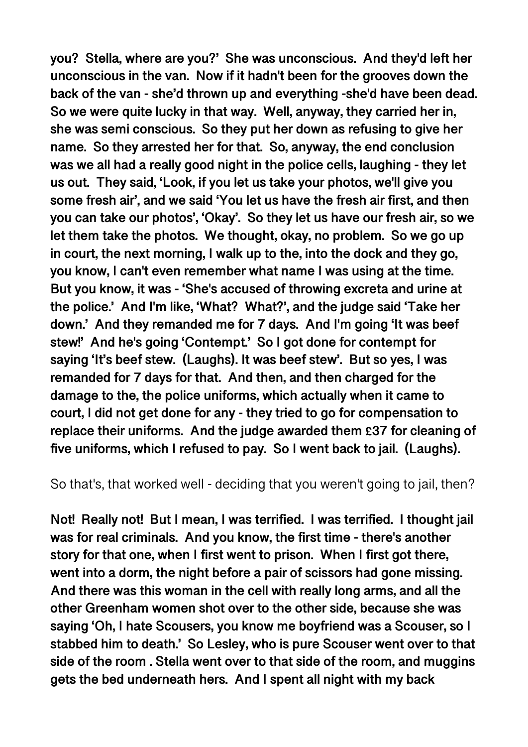**you? Stella, where are you?' She was unconscious. And they'd left her unconscious in the van. Now if it hadn't been for the grooves down the back of the van - she'd thrown up and everything -she'd have been dead. So we were quite lucky in that way. Well, anyway, they carried her in, she was semi conscious. So they put her down as refusing to give her name. So they arrested her for that. So, anyway, the end conclusion was we all had a really good night in the police cells, laughing - they let us out. They said, 'Look, if you let us take your photos, we'll give you some fresh air', and we said 'You let us have the fresh air first, and then you can take our photos', 'Okay'. So they let us have our fresh air, so we let them take the photos. We thought, okay, no problem. So we go up in court, the next morning, I walk up to the, into the dock and they go, you know, I can't even remember what name I was using at the time. But you know, it was - 'She's accused of throwing excreta and urine at the police.' And I'm like, 'What? What?', and the judge said 'Take her down.' And they remanded me for 7 days. And I'm going 'It was beef stew!' And he's going 'Contempt.' So I got done for contempt for saying 'It's beef stew. (Laughs). It was beef stew'. But so yes, I was remanded for 7 days for that. And then, and then charged for the damage to the, the police uniforms, which actually when it came to court, I did not get done for any - they tried to go for compensation to replace their uniforms. And the judge awarded them £37 for cleaning of five uniforms, which I refused to pay. So I went back to jail. (Laughs).** 

So that's, that worked well - deciding that you weren't going to jail, then?

**Not! Really not! But I mean, I was terrified. I was terrified. I thought jail was for real criminals. And you know, the first time - there's another story for that one, when I first went to prison. When I first got there, went into a dorm, the night before a pair of scissors had gone missing. And there was this woman in the cell with really long arms, and all the other Greenham women shot over to the other side, because she was saying 'Oh, I hate Scousers, you know me boyfriend was a Scouser, so I stabbed him to death.' So Lesley, who is pure Scouser went over to that side of the room . Stella went over to that side of the room, and muggins gets the bed underneath hers. And I spent all night with my back**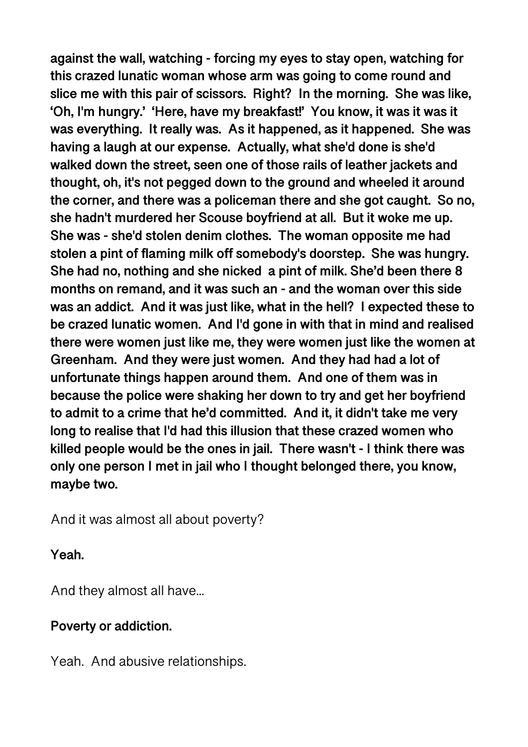**against the wall, watching - forcing my eyes to stay open, watching for this crazed lunatic woman whose arm was going to come round and slice me with this pair of scissors. Right? In the morning. She was like, 'Oh, I'm hungry.' 'Here, have my breakfast!' You know, it was it was it was everything. It really was. As it happened, as it happened. She was having a laugh at our expense. Actually, what she'd done is she'd walked down the street, seen one of those rails of leather jackets and thought, oh, it's not pegged down to the ground and wheeled it around the corner, and there was a policeman there and she got caught. So no, she hadn't murdered her Scouse boyfriend at all. But it woke me up. She was - she'd stolen denim clothes. The woman opposite me had stolen a pint of flaming milk off somebody's doorstep. She was hungry. She had no, nothing and she nicked a pint of milk. She'd been there 8 months on remand, and it was such an - and the woman over this side was an addict. And it was just like, what in the hell? I expected these to be crazed lunatic women. And I'd gone in with that in mind and realised there were women just like me, they were women just like the women at Greenham. And they were just women. And they had had a lot of unfortunate things happen around them. And one of them was in because the police were shaking her down to try and get her boyfriend to admit to a crime that he'd committed. And it, it didn't take me very long to realise that I'd had this illusion that these crazed women who killed people would be the ones in jail. There wasn't - I think there was only one person I met in jail who I thought belonged there, you know, maybe two.** 

And it was almost all about poverty?

### **Yeah.**

And they almost all have...

### **Poverty or addiction.**

Yeah. And abusive relationships.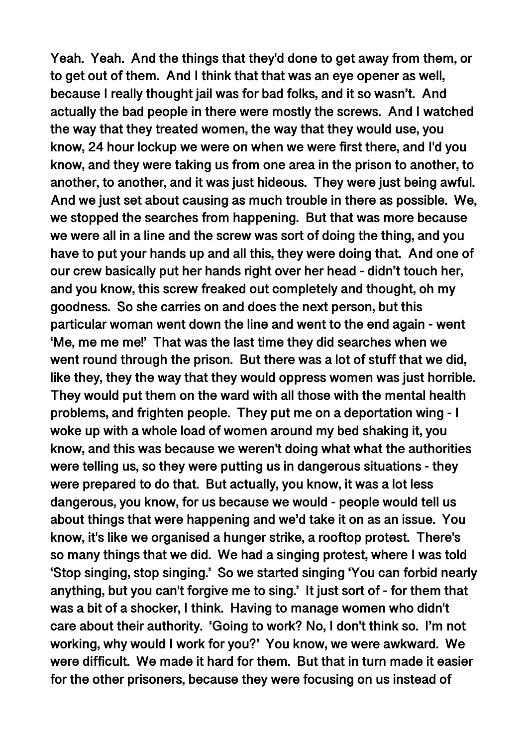**Yeah. Yeah. And the things that they'd done to get away from them, or to get out of them. And I think that that was an eye opener as well, because I really thought jail was for bad folks, and it so wasn't. And actually the bad people in there were mostly the screws. And I watched the way that they treated women, the way that they would use, you know, 24 hour lockup we were on when we were first there, and I'd you know, and they were taking us from one area in the prison to another, to another, to another, and it was just hideous. They were just being awful. And we just set about causing as much trouble in there as possible. We, we stopped the searches from happening. But that was more because we were all in a line and the screw was sort of doing the thing, and you have to put your hands up and all this, they were doing that. And one of our crew basically put her hands right over her head - didn't touch her, and you know, this screw freaked out completely and thought, oh my goodness. So she carries on and does the next person, but this particular woman went down the line and went to the end again - went 'Me, me me me!' That was the last time they did searches when we went round through the prison. But there was a lot of stuff that we did, like they, they the way that they would oppress women was just horrible. They would put them on the ward with all those with the mental health problems, and frighten people. They put me on a deportation wing - I woke up with a whole load of women around my bed shaking it, you know, and this was because we weren't doing what what the authorities were telling us, so they were putting us in dangerous situations - they were prepared to do that. But actually, you know, it was a lot less dangerous, you know, for us because we would - people would tell us about things that were happening and we'd take it on as an issue. You know, it's like we organised a hunger strike, a rooftop protest. There's so many things that we did. We had a singing protest, where I was told 'Stop singing, stop singing.' So we started singing 'You can forbid nearly anything, but you can't forgive me to sing.' It just sort of - for them that was a bit of a shocker, I think. Having to manage women who didn't care about their authority. 'Going to work? No, I don't think so. I'm not working, why would I work for you?' You know, we were awkward. We were difficult. We made it hard for them. But that in turn made it easier for the other prisoners, because they were focusing on us instead of**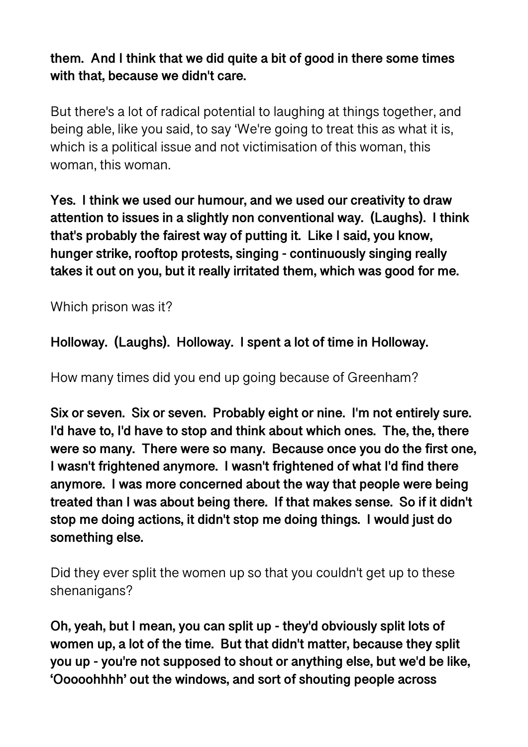# **them. And I think that we did quite a bit of good in there some times with that, because we didn't care.**

But there's a lot of radical potential to laughing at things together, and being able, like you said, to say 'We're going to treat this as what it is, which is a political issue and not victimisation of this woman, this woman, this woman.

**Yes. I think we used our humour, and we used our creativity to draw attention to issues in a slightly non conventional way. (Laughs). I think that's probably the fairest way of putting it. Like I said, you know, hunger strike, rooftop protests, singing - continuously singing really takes it out on you, but it really irritated them, which was good for me.** 

Which prison was it?

**Holloway. (Laughs). Holloway. I spent a lot of time in Holloway.** 

How many times did you end up going because of Greenham?

**Six or seven. Six or seven. Probably eight or nine. I'm not entirely sure. I'd have to, I'd have to stop and think about which ones. The, the, there were so many. There were so many. Because once you do the first one, I wasn't frightened anymore. I wasn't frightened of what I'd find there anymore. I was more concerned about the way that people were being treated than I was about being there. If that makes sense. So if it didn't stop me doing actions, it didn't stop me doing things. I would just do something else.** 

Did they ever split the women up so that you couldn't get up to these shenanigans?

**Oh, yeah, but I mean, you can split up - they'd obviously split lots of women up, a lot of the time. But that didn't matter, because they split you up - you're not supposed to shout or anything else, but we'd be like, 'Ooooohhhh' out the windows, and sort of shouting people across**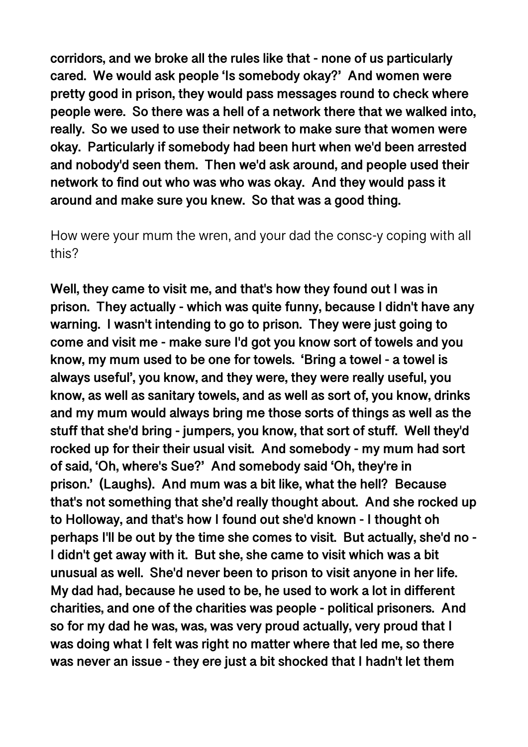**corridors, and we broke all the rules like that - none of us particularly cared. We would ask people 'Is somebody okay?' And women were pretty good in prison, they would pass messages round to check where people were. So there was a hell of a network there that we walked into, really. So we used to use their network to make sure that women were okay. Particularly if somebody had been hurt when we'd been arrested and nobody'd seen them. Then we'd ask around, and people used their network to find out who was who was okay. And they would pass it around and make sure you knew. So that was a good thing.** 

How were your mum the wren, and your dad the consc-y coping with all this?

**Well, they came to visit me, and that's how they found out I was in prison. They actually - which was quite funny, because I didn't have any warning. I wasn't intending to go to prison. They were just going to come and visit me - make sure I'd got you know sort of towels and you know, my mum used to be one for towels. 'Bring a towel - a towel is always useful', you know, and they were, they were really useful, you know, as well as sanitary towels, and as well as sort of, you know, drinks and my mum would always bring me those sorts of things as well as the stuff that she'd bring - jumpers, you know, that sort of stuff. Well they'd rocked up for their their usual visit. And somebody - my mum had sort of said, 'Oh, where's Sue?' And somebody said 'Oh, they're in prison.' (Laughs). And mum was a bit like, what the hell? Because that's not something that she'd really thought about. And she rocked up to Holloway, and that's how I found out she'd known - I thought oh perhaps I'll be out by the time she comes to visit. But actually, she'd no - I didn't get away with it. But she, she came to visit which was a bit unusual as well. She'd never been to prison to visit anyone in her life. My dad had, because he used to be, he used to work a lot in different charities, and one of the charities was people - political prisoners. And so for my dad he was, was, was very proud actually, very proud that I was doing what I felt was right no matter where that led me, so there was never an issue - they ere just a bit shocked that I hadn't let them**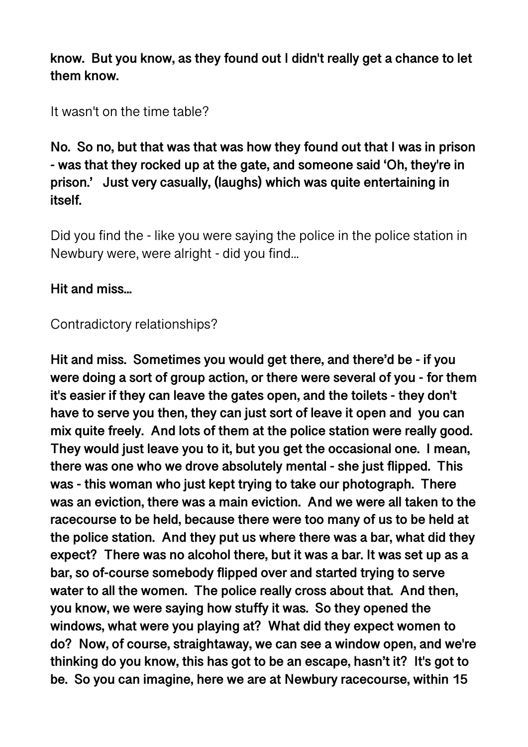**know. But you know, as they found out I didn't really get a chance to let them know.** 

It wasn't on the time table?

**No. So no, but that was that was how they found out that I was in prison - was that they rocked up at the gate, and someone said 'Oh, they're in prison.' Just very casually, (laughs) which was quite entertaining in itself.** 

Did you find the - like you were saying the police in the police station in Newbury were, were alright - did you find...

# **Hit and miss...**

## Contradictory relationships?

**Hit and miss. Sometimes you would get there, and there'd be - if you were doing a sort of group action, or there were several of you - for them it's easier if they can leave the gates open, and the toilets - they don't have to serve you then, they can just sort of leave it open and you can mix quite freely. And lots of them at the police station were really good. They would just leave you to it, but you get the occasional one. I mean, there was one who we drove absolutely mental - she just flipped. This was - this woman who just kept trying to take our photograph. There was an eviction, there was a main eviction. And we were all taken to the racecourse to be held, because there were too many of us to be held at the police station. And they put us where there was a bar, what did they expect? There was no alcohol there, but it was a bar. It was set up as a bar, so of-course somebody flipped over and started trying to serve water to all the women. The police really cross about that. And then, you know, we were saying how stuffy it was. So they opened the windows, what were you playing at? What did they expect women to do? Now, of course, straightaway, we can see a window open, and we're thinking do you know, this has got to be an escape, hasn't it? It's got to be. So you can imagine, here we are at Newbury racecourse, within 15**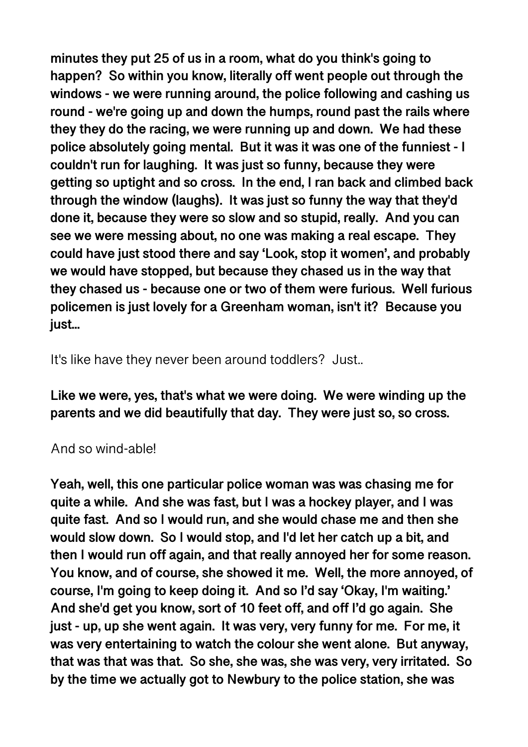**minutes they put 25 of us in a room, what do you think's going to happen? So within you know, literally off went people out through the windows - we were running around, the police following and cashing us round - we're going up and down the humps, round past the rails where they they do the racing, we were running up and down. We had these police absolutely going mental. But it was it was one of the funniest - I couldn't run for laughing. It was just so funny, because they were getting so uptight and so cross. In the end, I ran back and climbed back through the window (laughs). It was just so funny the way that they'd done it, because they were so slow and so stupid, really. And you can see we were messing about, no one was making a real escape. They could have just stood there and say 'Look, stop it women', and probably we would have stopped, but because they chased us in the way that they chased us - because one or two of them were furious. Well furious policemen is just lovely for a Greenham woman, isn't it? Because you just...** 

It's like have they never been around toddlers? Just...

**Like we were, yes, that's what we were doing. We were winding up the parents and we did beautifully that day. They were just so, so cross.** 

### And so wind-able!

**Yeah, well, this one particular police woman was was chasing me for quite a while. And she was fast, but I was a hockey player, and I was quite fast. And so I would run, and she would chase me and then she would slow down. So I would stop, and I'd let her catch up a bit, and then I would run off again, and that really annoyed her for some reason. You know, and of course, she showed it me. Well, the more annoyed, of course, I'm going to keep doing it. And so I'd say 'Okay, I'm waiting.' And she'd get you know, sort of 10 feet off, and off I'd go again. She just - up, up she went again. It was very, very funny for me. For me, it was very entertaining to watch the colour she went alone. But anyway, that was that was that. So she, she was, she was very, very irritated. So by the time we actually got to Newbury to the police station, she was**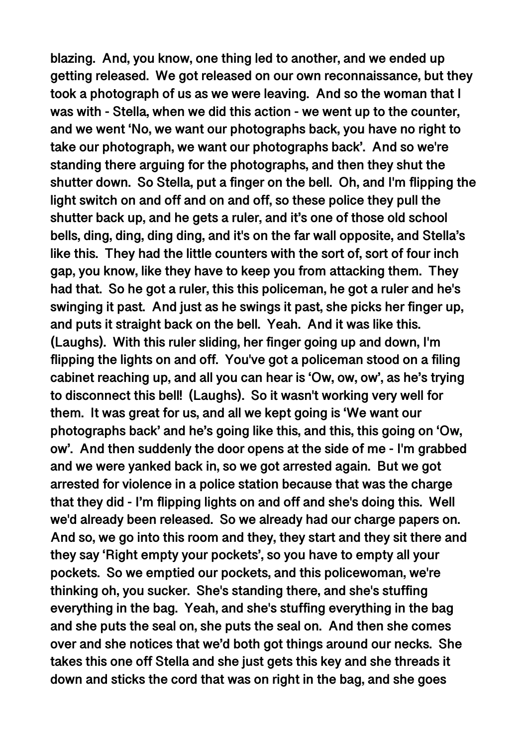**blazing. And, you know, one thing led to another, and we ended up getting released. We got released on our own reconnaissance, but they took a photograph of us as we were leaving. And so the woman that I was with - Stella, when we did this action - we went up to the counter, and we went 'No, we want our photographs back, you have no right to take our photograph, we want our photographs back'. And so we're standing there arguing for the photographs, and then they shut the shutter down. So Stella, put a finger on the bell. Oh, and I'm flipping the light switch on and off and on and off, so these police they pull the shutter back up, and he gets a ruler, and it's one of those old school bells, ding, ding, ding ding, and it's on the far wall opposite, and Stella's like this. They had the little counters with the sort of, sort of four inch gap, you know, like they have to keep you from attacking them. They had that. So he got a ruler, this this policeman, he got a ruler and he's swinging it past. And just as he swings it past, she picks her finger up, and puts it straight back on the bell. Yeah. And it was like this. (Laughs). With this ruler sliding, her finger going up and down, I'm flipping the lights on and off. You've got a policeman stood on a filing cabinet reaching up, and all you can hear is 'Ow, ow, ow', as he's trying to disconnect this bell! (Laughs). So it wasn't working very well for them. It was great for us, and all we kept going is 'We want our photographs back' and he's going like this, and this, this going on 'Ow, ow'. And then suddenly the door opens at the side of me - I'm grabbed and we were yanked back in, so we got arrested again. But we got arrested for violence in a police station because that was the charge that they did - I'm flipping lights on and off and she's doing this. Well we'd already been released. So we already had our charge papers on. And so, we go into this room and they, they start and they sit there and they say 'Right empty your pockets', so you have to empty all your pockets. So we emptied our pockets, and this policewoman, we're thinking oh, you sucker. She's standing there, and she's stuffing everything in the bag. Yeah, and she's stuffing everything in the bag and she puts the seal on, she puts the seal on. And then she comes over and she notices that we'd both got things around our necks. She takes this one off Stella and she just gets this key and she threads it down and sticks the cord that was on right in the bag, and she goes**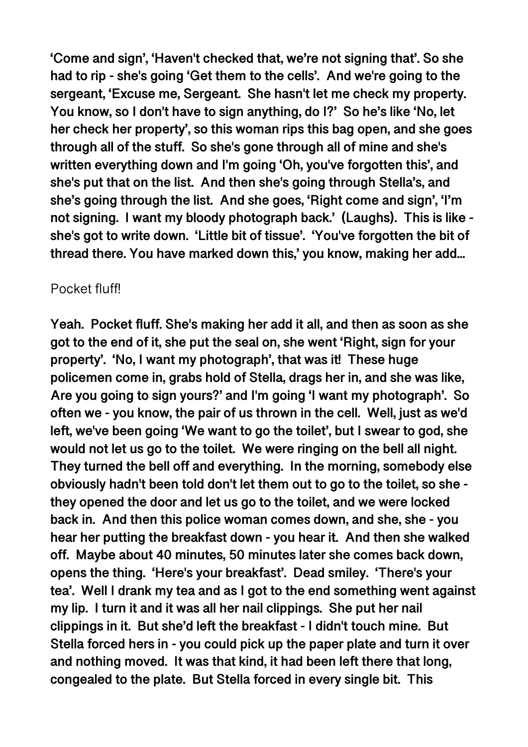**'Come and sign', 'Haven't checked that, we're not signing that'. So she had to rip - she's going 'Get them to the cells'. And we're going to the sergeant, 'Excuse me, Sergeant. She hasn't let me check my property. You know, so I don't have to sign anything, do I?' So he's like 'No, let her check her property', so this woman rips this bag open, and she goes through all of the stuff. So she's gone through all of mine and she's written everything down and I'm going 'Oh, you've forgotten this', and she's put that on the list. And then she's going through Stella's, and she's going through the list. And she goes, 'Right come and sign', 'I'm not signing. I want my bloody photograph back.' (Laughs). This is like she's got to write down. 'Little bit of tissue'. 'You've forgotten the bit of thread there. You have marked down this,' you know, making her add...** 

## Pocket fluff!

**Yeah. Pocket fluff. She's making her add it all, and then as soon as she got to the end of it, she put the seal on, she went 'Right, sign for your property'. 'No, I want my photograph', that was it! These huge policemen come in, grabs hold of Stella, drags her in, and she was like, Are you going to sign yours?' and I'm going 'I want my photograph'. So often we - you know, the pair of us thrown in the cell. Well, just as we'd left, we've been going 'We want to go the toilet', but I swear to god, she would not let us go to the toilet. We were ringing on the bell all night. They turned the bell off and everything. In the morning, somebody else obviously hadn't been told don't let them out to go to the toilet, so she they opened the door and let us go to the toilet, and we were locked back in. And then this police woman comes down, and she, she - you hear her putting the breakfast down - you hear it. And then she walked off. Maybe about 40 minutes, 50 minutes later she comes back down, opens the thing. 'Here's your breakfast'. Dead smiley. 'There's your tea'. Well I drank my tea and as I got to the end something went against my lip. I turn it and it was all her nail clippings. She put her nail clippings in it. But she'd left the breakfast - I didn't touch mine. But Stella forced hers in - you could pick up the paper plate and turn it over and nothing moved. It was that kind, it had been left there that long, congealed to the plate. But Stella forced in every single bit. This**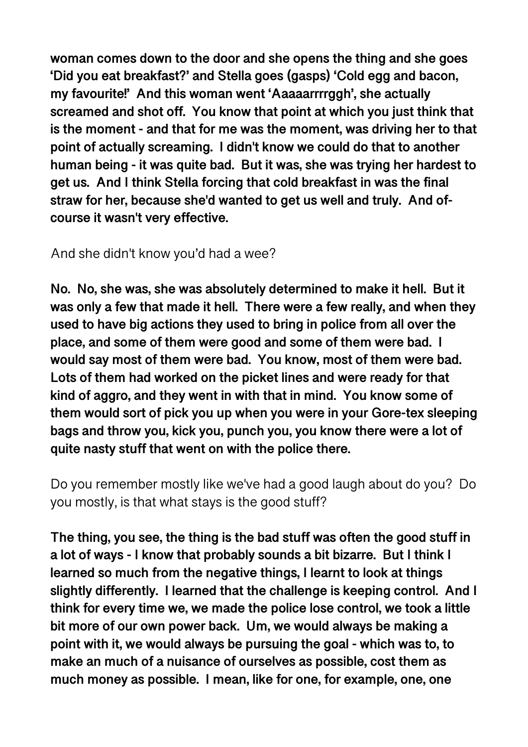**woman comes down to the door and she opens the thing and she goes 'Did you eat breakfast?' and Stella goes (gasps) 'Cold egg and bacon, my favourite!' And this woman went 'Aaaaarrrrggh', she actually screamed and shot off. You know that point at which you just think that is the moment - and that for me was the moment, was driving her to that point of actually screaming. I didn't know we could do that to another human being - it was quite bad. But it was, she was trying her hardest to get us. And I think Stella forcing that cold breakfast in was the final straw for her, because she'd wanted to get us well and truly. And ofcourse it wasn't very effective.** 

And she didn't know you'd had a wee?

**No. No, she was, she was absolutely determined to make it hell. But it was only a few that made it hell. There were a few really, and when they used to have big actions they used to bring in police from all over the place, and some of them were good and some of them were bad. I would say most of them were bad. You know, most of them were bad. Lots of them had worked on the picket lines and were ready for that kind of aggro, and they went in with that in mind. You know some of them would sort of pick you up when you were in your Gore-tex sleeping bags and throw you, kick you, punch you, you know there were a lot of quite nasty stuff that went on with the police there.** 

Do you remember mostly like we've had a good laugh about do you? Do you mostly, is that what stays is the good stuff?

**The thing, you see, the thing is the bad stuff was often the good stuff in a lot of ways - I know that probably sounds a bit bizarre. But I think I learned so much from the negative things, I learnt to look at things slightly differently. I learned that the challenge is keeping control. And I think for every time we, we made the police lose control, we took a little bit more of our own power back. Um, we would always be making a point with it, we would always be pursuing the goal - which was to, to make an much of a nuisance of ourselves as possible, cost them as much money as possible. I mean, like for one, for example, one, one**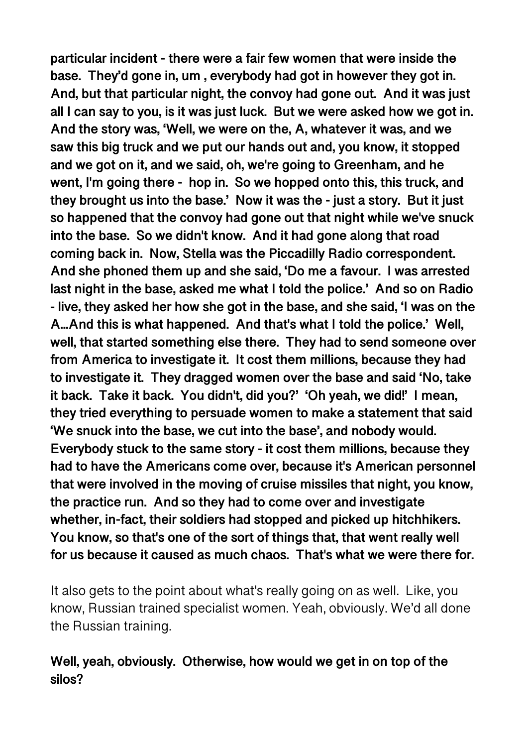**particular incident - there were a fair few women that were inside the base. They'd gone in, um , everybody had got in however they got in. And, but that particular night, the convoy had gone out. And it was just all I can say to you, is it was just luck. But we were asked how we got in. And the story was, 'Well, we were on the, A, whatever it was, and we saw this big truck and we put our hands out and, you know, it stopped and we got on it, and we said, oh, we're going to Greenham, and he went, I'm going there - hop in. So we hopped onto this, this truck, and they brought us into the base.' Now it was the - just a story. But it just so happened that the convoy had gone out that night while we've snuck into the base. So we didn't know. And it had gone along that road coming back in. Now, Stella was the Piccadilly Radio correspondent. And she phoned them up and she said, 'Do me a favour. I was arrested last night in the base, asked me what I told the police.' And so on Radio - live, they asked her how she got in the base, and she said, 'I was on the A...And this is what happened. And that's what I told the police.' Well, well, that started something else there. They had to send someone over from America to investigate it. It cost them millions, because they had to investigate it. They dragged women over the base and said 'No, take it back. Take it back. You didn't, did you?' 'Oh yeah, we did!' I mean, they tried everything to persuade women to make a statement that said 'We snuck into the base, we cut into the base', and nobody would. Everybody stuck to the same story - it cost them millions, because they had to have the Americans come over, because it's American personnel that were involved in the moving of cruise missiles that night, you know, the practice run. And so they had to come over and investigate whether, in-fact, their soldiers had stopped and picked up hitchhikers. You know, so that's one of the sort of things that, that went really well for us because it caused as much chaos. That's what we were there for.** 

It also gets to the point about what's really going on as well. Like, you know, Russian trained specialist women. Yeah, obviously. We'd all done the Russian training.

### **Well, yeah, obviously. Otherwise, how would we get in on top of the silos?**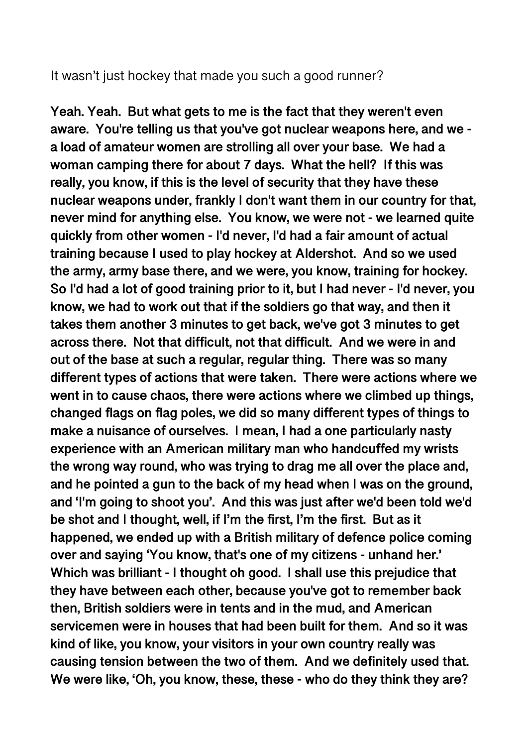#### It wasn't just hockey that made you such a good runner?

**Yeah. Yeah. But what gets to me is the fact that they weren't even aware. You're telling us that you've got nuclear weapons here, and we a load of amateur women are strolling all over your base. We had a woman camping there for about 7 days. What the hell? If this was really, you know, if this is the level of security that they have these nuclear weapons under, frankly I don't want them in our country for that, never mind for anything else. You know, we were not - we learned quite quickly from other women - I'd never, I'd had a fair amount of actual training because I used to play hockey at Aldershot. And so we used the army, army base there, and we were, you know, training for hockey. So I'd had a lot of good training prior to it, but I had never - I'd never, you know, we had to work out that if the soldiers go that way, and then it takes them another 3 minutes to get back, we've got 3 minutes to get across there. Not that difficult, not that difficult. And we were in and out of the base at such a regular, regular thing. There was so many different types of actions that were taken. There were actions where we went in to cause chaos, there were actions where we climbed up things, changed flags on flag poles, we did so many different types of things to make a nuisance of ourselves. I mean, I had a one particularly nasty experience with an American military man who handcuffed my wrists the wrong way round, who was trying to drag me all over the place and, and he pointed a gun to the back of my head when I was on the ground, and 'I'm going to shoot you'. And this was just after we'd been told we'd be shot and I thought, well, if I'm the first, I'm the first. But as it happened, we ended up with a British military of defence police coming over and saying 'You know, that's one of my citizens - unhand her.' Which was brilliant - I thought oh good. I shall use this prejudice that they have between each other, because you've got to remember back then, British soldiers were in tents and in the mud, and American servicemen were in houses that had been built for them. And so it was kind of like, you know, your visitors in your own country really was causing tension between the two of them. And we definitely used that. We were like, 'Oh, you know, these, these - who do they think they are?**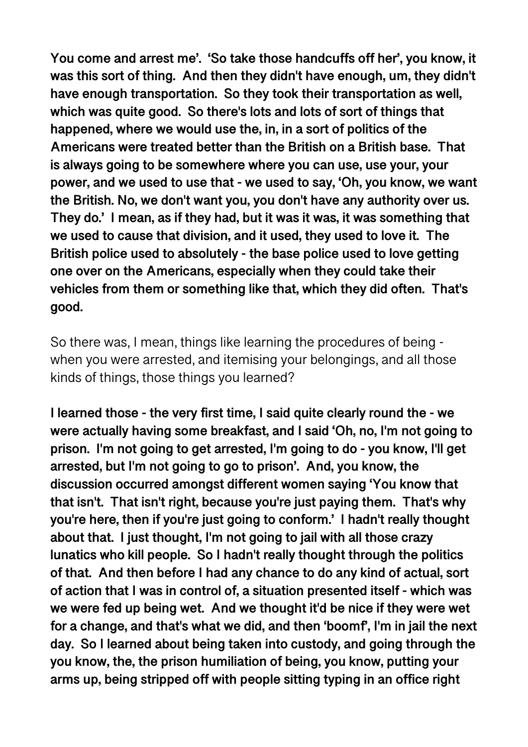**You come and arrest me'. 'So take those handcuffs off her', you know, it was this sort of thing. And then they didn't have enough, um, they didn't have enough transportation. So they took their transportation as well, which was quite good. So there's lots and lots of sort of things that happened, where we would use the, in, in a sort of politics of the Americans were treated better than the British on a British base. That is always going to be somewhere where you can use, use your, your power, and we used to use that - we used to say, 'Oh, you know, we want the British. No, we don't want you, you don't have any authority over us. They do.' I mean, as if they had, but it was it was, it was something that we used to cause that division, and it used, they used to love it. The British police used to absolutely - the base police used to love getting one over on the Americans, especially when they could take their vehicles from them or something like that, which they did often. That's good.** 

So there was, I mean, things like learning the procedures of being when you were arrested, and itemising your belongings, and all those kinds of things, those things you learned?

**I learned those - the very first time, I said quite clearly round the - we were actually having some breakfast, and I said 'Oh, no, I'm not going to prison. I'm not going to get arrested, I'm going to do - you know, I'll get arrested, but I'm not going to go to prison'. And, you know, the discussion occurred amongst different women saying 'You know that that isn't. That isn't right, because you're just paying them. That's why you're here, then if you're just going to conform.' I hadn't really thought about that. I just thought, I'm not going to jail with all those crazy lunatics who kill people. So I hadn't really thought through the politics of that. And then before I had any chance to do any kind of actual, sort of action that I was in control of, a situation presented itself - which was we were fed up being wet. And we thought it'd be nice if they were wet for a change, and that's what we did, and then 'boomf', I'm in jail the next day. So I learned about being taken into custody, and going through the you know, the, the prison humiliation of being, you know, putting your arms up, being stripped off with people sitting typing in an office right**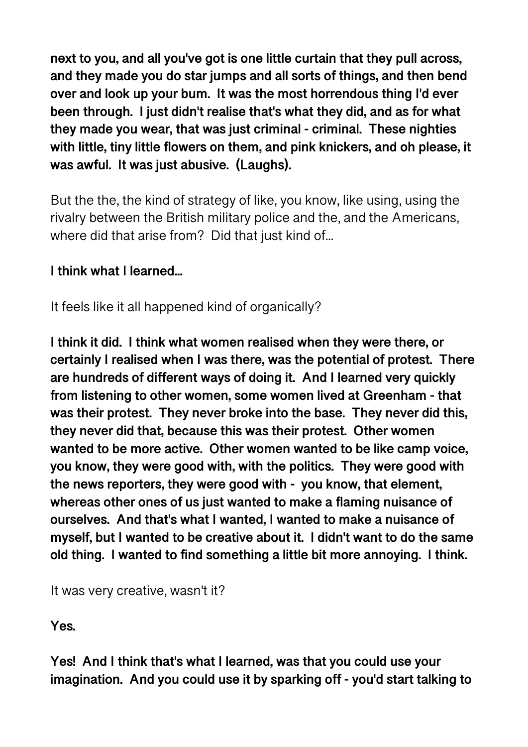**next to you, and all you've got is one little curtain that they pull across, and they made you do star jumps and all sorts of things, and then bend over and look up your bum. It was the most horrendous thing I'd ever been through. I just didn't realise that's what they did, and as for what they made you wear, that was just criminal - criminal. These nighties with little, tiny little flowers on them, and pink knickers, and oh please, it was awful. It was just abusive. (Laughs).** 

But the the, the kind of strategy of like, you know, like using, using the rivalry between the British military police and the, and the Americans, where did that arise from? Did that just kind of...

# **I think what I learned...**

It feels like it all happened kind of organically?

**I think it did. I think what women realised when they were there, or certainly I realised when I was there, was the potential of protest. There are hundreds of different ways of doing it. And I learned very quickly from listening to other women, some women lived at Greenham - that was their protest. They never broke into the base. They never did this, they never did that, because this was their protest. Other women wanted to be more active. Other women wanted to be like camp voice, you know, they were good with, with the politics. They were good with the news reporters, they were good with - you know, that element, whereas other ones of us just wanted to make a flaming nuisance of ourselves. And that's what I wanted, I wanted to make a nuisance of myself, but I wanted to be creative about it. I didn't want to do the same old thing. I wanted to find something a little bit more annoying. I think.** 

It was very creative, wasn't it?

**Yes.** 

**Yes! And I think that's what I learned, was that you could use your imagination. And you could use it by sparking off - you'd start talking to**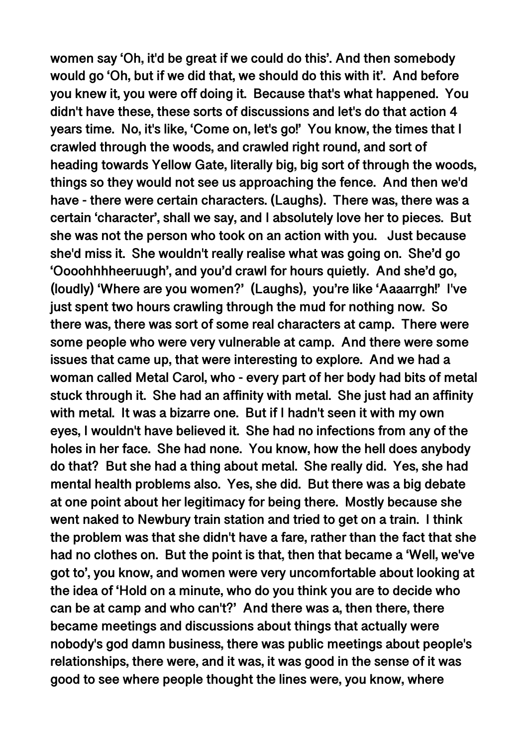**women say 'Oh, it'd be great if we could do this'. And then somebody would go 'Oh, but if we did that, we should do this with it'. And before you knew it, you were off doing it. Because that's what happened. You didn't have these, these sorts of discussions and let's do that action 4 years time. No, it's like, 'Come on, let's go!' You know, the times that I crawled through the woods, and crawled right round, and sort of heading towards Yellow Gate, literally big, big sort of through the woods, things so they would not see us approaching the fence. And then we'd have - there were certain characters. (Laughs). There was, there was a certain 'character', shall we say, and I absolutely love her to pieces. But she was not the person who took on an action with you. Just because she'd miss it. She wouldn't really realise what was going on. She'd go 'Oooohhhheeruugh', and you'd crawl for hours quietly. And she'd go, (loudly) 'Where are you women?' (Laughs), you're like 'Aaaarrgh!' I've just spent two hours crawling through the mud for nothing now. So there was, there was sort of some real characters at camp. There were some people who were very vulnerable at camp. And there were some issues that came up, that were interesting to explore. And we had a woman called Metal Carol, who - every part of her body had bits of metal stuck through it. She had an affinity with metal. She just had an affinity with metal. It was a bizarre one. But if I hadn't seen it with my own eyes, I wouldn't have believed it. She had no infections from any of the holes in her face. She had none. You know, how the hell does anybody do that? But she had a thing about metal. She really did. Yes, she had mental health problems also. Yes, she did. But there was a big debate at one point about her legitimacy for being there. Mostly because she went naked to Newbury train station and tried to get on a train. I think the problem was that she didn't have a fare, rather than the fact that she had no clothes on. But the point is that, then that became a 'Well, we've got to', you know, and women were very uncomfortable about looking at the idea of 'Hold on a minute, who do you think you are to decide who can be at camp and who can't?' And there was a, then there, there became meetings and discussions about things that actually were nobody's god damn business, there was public meetings about people's relationships, there were, and it was, it was good in the sense of it was good to see where people thought the lines were, you know, where**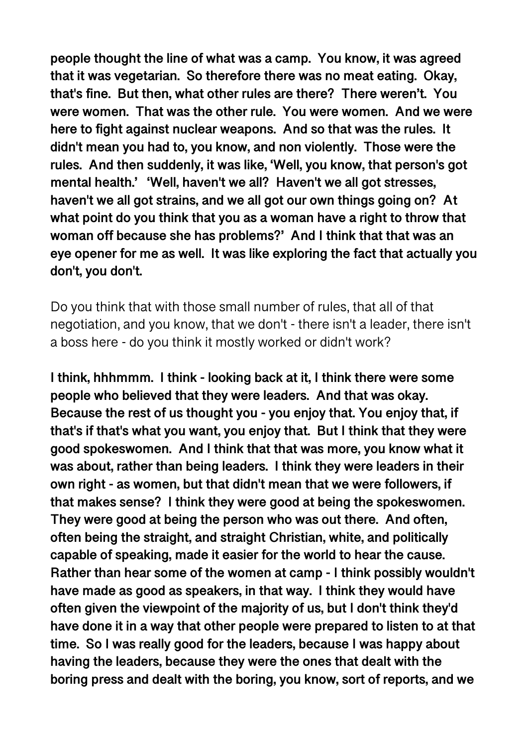**people thought the line of what was a camp. You know, it was agreed that it was vegetarian. So therefore there was no meat eating. Okay, that's fine. But then, what other rules are there? There weren't. You were women. That was the other rule. You were women. And we were here to fight against nuclear weapons. And so that was the rules. It didn't mean you had to, you know, and non violently. Those were the rules. And then suddenly, it was like, 'Well, you know, that person's got mental health.' 'Well, haven't we all? Haven't we all got stresses, haven't we all got strains, and we all got our own things going on? At what point do you think that you as a woman have a right to throw that woman off because she has problems?' And I think that that was an eye opener for me as well. It was like exploring the fact that actually you don't, you don't.** 

Do you think that with those small number of rules, that all of that negotiation, and you know, that we don't - there isn't a leader, there isn't a boss here - do you think it mostly worked or didn't work?

**I think, hhhmmm. I think - looking back at it, I think there were some people who believed that they were leaders. And that was okay. Because the rest of us thought you - you enjoy that. You enjoy that, if that's if that's what you want, you enjoy that. But I think that they were good spokeswomen. And I think that that was more, you know what it was about, rather than being leaders. I think they were leaders in their own right - as women, but that didn't mean that we were followers, if that makes sense? I think they were good at being the spokeswomen. They were good at being the person who was out there. And often, often being the straight, and straight Christian, white, and politically capable of speaking, made it easier for the world to hear the cause. Rather than hear some of the women at camp - I think possibly wouldn't have made as good as speakers, in that way. I think they would have often given the viewpoint of the majority of us, but I don't think they'd have done it in a way that other people were prepared to listen to at that time. So I was really good for the leaders, because I was happy about having the leaders, because they were the ones that dealt with the boring press and dealt with the boring, you know, sort of reports, and we**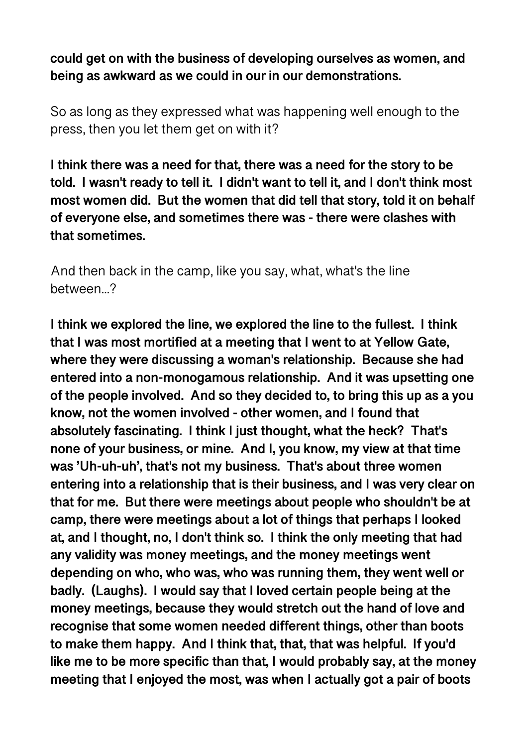**could get on with the business of developing ourselves as women, and being as awkward as we could in our in our demonstrations.** 

So as long as they expressed what was happening well enough to the press, then you let them get on with it?

**I think there was a need for that, there was a need for the story to be told. I wasn't ready to tell it. I didn't want to tell it, and I don't think most most women did. But the women that did tell that story, told it on behalf of everyone else, and sometimes there was - there were clashes with that sometimes.** 

And then back in the camp, like you say, what, what's the line between...?

**I think we explored the line, we explored the line to the fullest. I think that I was most mortified at a meeting that I went to at Yellow Gate, where they were discussing a woman's relationship. Because she had entered into a non-monogamous relationship. And it was upsetting one of the people involved. And so they decided to, to bring this up as a you know, not the women involved - other women, and I found that absolutely fascinating. I think I just thought, what the heck? That's none of your business, or mine. And I, you know, my view at that time was 'Uh-uh-uh', that's not my business. That's about three women entering into a relationship that is their business, and I was very clear on that for me. But there were meetings about people who shouldn't be at camp, there were meetings about a lot of things that perhaps I looked at, and I thought, no, I don't think so. I think the only meeting that had any validity was money meetings, and the money meetings went depending on who, who was, who was running them, they went well or badly. (Laughs). I would say that I loved certain people being at the money meetings, because they would stretch out the hand of love and recognise that some women needed different things, other than boots to make them happy. And I think that, that, that was helpful. If you'd like me to be more specific than that, I would probably say, at the money meeting that I enjoyed the most, was when I actually got a pair of boots**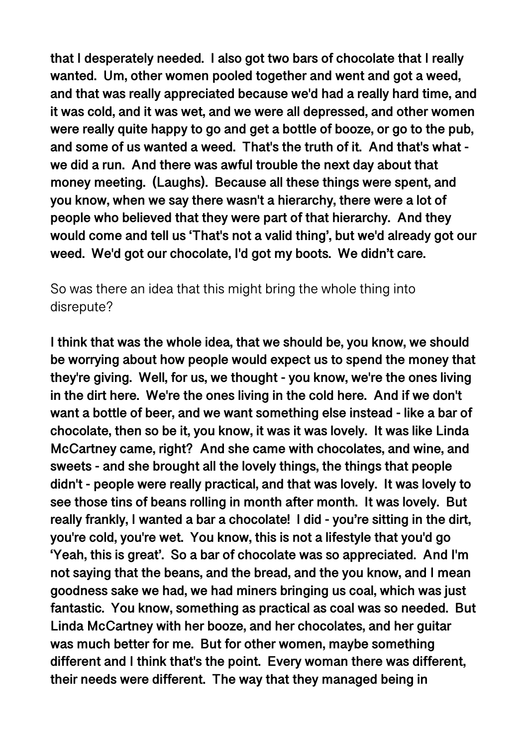**that I desperately needed. I also got two bars of chocolate that I really wanted. Um, other women pooled together and went and got a weed, and that was really appreciated because we'd had a really hard time, and it was cold, and it was wet, and we were all depressed, and other women were really quite happy to go and get a bottle of booze, or go to the pub, and some of us wanted a weed. That's the truth of it. And that's what we did a run. And there was awful trouble the next day about that money meeting. (Laughs). Because all these things were spent, and you know, when we say there wasn't a hierarchy, there were a lot of people who believed that they were part of that hierarchy. And they would come and tell us 'That's not a valid thing', but we'd already got our weed. We'd got our chocolate, I'd got my boots. We didn't care.** 

So was there an idea that this might bring the whole thing into disrepute?

**I think that was the whole idea, that we should be, you know, we should be worrying about how people would expect us to spend the money that they're giving. Well, for us, we thought - you know, we're the ones living in the dirt here. We're the ones living in the cold here. And if we don't want a bottle of beer, and we want something else instead - like a bar of chocolate, then so be it, you know, it was it was lovely. It was like Linda McCartney came, right? And she came with chocolates, and wine, and sweets - and she brought all the lovely things, the things that people didn't - people were really practical, and that was lovely. It was lovely to see those tins of beans rolling in month after month. It was lovely. But really frankly, I wanted a bar a chocolate! I did - you're sitting in the dirt, you're cold, you're wet. You know, this is not a lifestyle that you'd go 'Yeah, this is great'. So a bar of chocolate was so appreciated. And I'm not saying that the beans, and the bread, and the you know, and I mean goodness sake we had, we had miners bringing us coal, which was just fantastic. You know, something as practical as coal was so needed. But Linda McCartney with her booze, and her chocolates, and her guitar was much better for me. But for other women, maybe something different and I think that's the point. Every woman there was different, their needs were different. The way that they managed being in**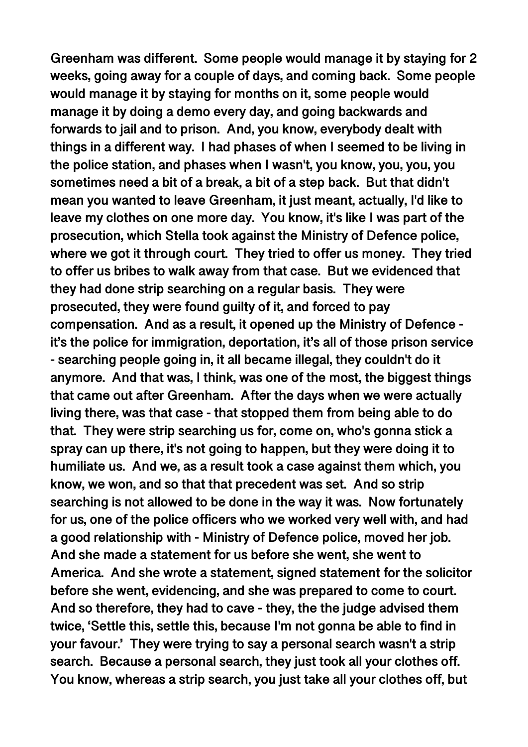**Greenham was different. Some people would manage it by staying for 2 weeks, going away for a couple of days, and coming back. Some people would manage it by staying for months on it, some people would manage it by doing a demo every day, and going backwards and forwards to jail and to prison. And, you know, everybody dealt with things in a different way. I had phases of when I seemed to be living in the police station, and phases when I wasn't, you know, you, you, you sometimes need a bit of a break, a bit of a step back. But that didn't mean you wanted to leave Greenham, it just meant, actually, I'd like to leave my clothes on one more day. You know, it's like I was part of the prosecution, which Stella took against the Ministry of Defence police, where we got it through court. They tried to offer us money. They tried to offer us bribes to walk away from that case. But we evidenced that they had done strip searching on a regular basis. They were prosecuted, they were found guilty of it, and forced to pay compensation. And as a result, it opened up the Ministry of Defence it's the police for immigration, deportation, it's all of those prison service - searching people going in, it all became illegal, they couldn't do it anymore. And that was, I think, was one of the most, the biggest things that came out after Greenham. After the days when we were actually living there, was that case - that stopped them from being able to do that. They were strip searching us for, come on, who's gonna stick a spray can up there, it's not going to happen, but they were doing it to humiliate us. And we, as a result took a case against them which, you know, we won, and so that that precedent was set. And so strip searching is not allowed to be done in the way it was. Now fortunately for us, one of the police officers who we worked very well with, and had a good relationship with - Ministry of Defence police, moved her job. And she made a statement for us before she went, she went to America. And she wrote a statement, signed statement for the solicitor before she went, evidencing, and she was prepared to come to court. And so therefore, they had to cave - they, the the judge advised them twice, 'Settle this, settle this, because I'm not gonna be able to find in your favour.' They were trying to say a personal search wasn't a strip search. Because a personal search, they just took all your clothes off. You know, whereas a strip search, you just take all your clothes off, but**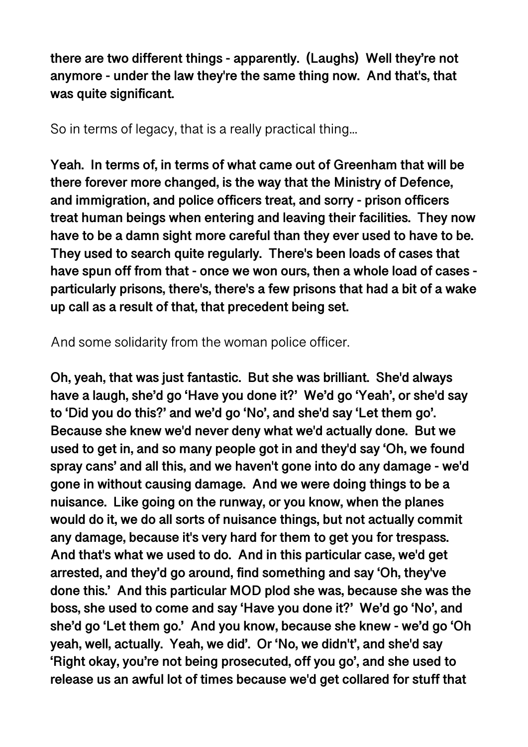**there are two different things - apparently. (Laughs) Well they're not anymore - under the law they're the same thing now. And that's, that was quite significant.** 

So in terms of legacy, that is a really practical thing...

**Yeah. In terms of, in terms of what came out of Greenham that will be there forever more changed, is the way that the Ministry of Defence, and immigration, and police officers treat, and sorry - prison officers treat human beings when entering and leaving their facilities. They now have to be a damn sight more careful than they ever used to have to be. They used to search quite regularly. There's been loads of cases that have spun off from that - once we won ours, then a whole load of cases particularly prisons, there's, there's a few prisons that had a bit of a wake up call as a result of that, that precedent being set.** 

And some solidarity from the woman police officer.

**Oh, yeah, that was just fantastic. But she was brilliant. She'd always have a laugh, she'd go 'Have you done it?' We'd go 'Yeah', or she'd say to 'Did you do this?' and we'd go 'No', and she'd say 'Let them go'. Because she knew we'd never deny what we'd actually done. But we used to get in, and so many people got in and they'd say 'Oh, we found spray cans' and all this, and we haven't gone into do any damage - we'd gone in without causing damage. And we were doing things to be a nuisance. Like going on the runway, or you know, when the planes would do it, we do all sorts of nuisance things, but not actually commit any damage, because it's very hard for them to get you for trespass. And that's what we used to do. And in this particular case, we'd get arrested, and they'd go around, find something and say 'Oh, they've done this.' And this particular MOD plod she was, because she was the boss, she used to come and say 'Have you done it?' We'd go 'No', and she'd go 'Let them go.' And you know, because she knew - we'd go 'Oh yeah, well, actually. Yeah, we did'. Or 'No, we didn't', and she'd say 'Right okay, you're not being prosecuted, off you go', and she used to release us an awful lot of times because we'd get collared for stuff that**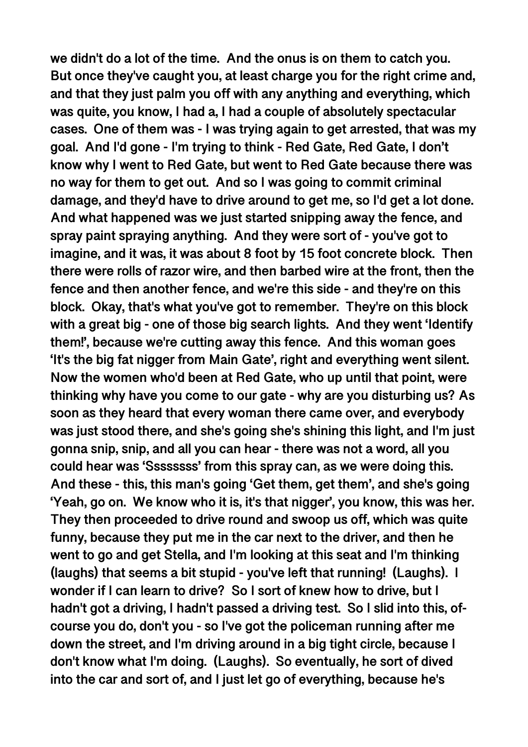**we didn't do a lot of the time. And the onus is on them to catch you. But once they've caught you, at least charge you for the right crime and, and that they just palm you off with any anything and everything, which was quite, you know, I had a, I had a couple of absolutely spectacular cases. One of them was - I was trying again to get arrested, that was my goal. And I'd gone - I'm trying to think - Red Gate, Red Gate, I don't know why I went to Red Gate, but went to Red Gate because there was no way for them to get out. And so I was going to commit criminal damage, and they'd have to drive around to get me, so I'd get a lot done. And what happened was we just started snipping away the fence, and spray paint spraying anything. And they were sort of - you've got to imagine, and it was, it was about 8 foot by 15 foot concrete block. Then there were rolls of razor wire, and then barbed wire at the front, then the fence and then another fence, and we're this side - and they're on this block. Okay, that's what you've got to remember. They're on this block with a great big - one of those big search lights. And they went 'Identify them!', because we're cutting away this fence. And this woman goes 'It's the big fat nigger from Main Gate', right and everything went silent. Now the women who'd been at Red Gate, who up until that point, were thinking why have you come to our gate - why are you disturbing us? As soon as they heard that every woman there came over, and everybody was just stood there, and she's going she's shining this light, and I'm just gonna snip, snip, and all you can hear - there was not a word, all you could hear was 'Ssssssss' from this spray can, as we were doing this. And these - this, this man's going 'Get them, get them', and she's going 'Yeah, go on. We know who it is, it's that nigger', you know, this was her. They then proceeded to drive round and swoop us off, which was quite funny, because they put me in the car next to the driver, and then he went to go and get Stella, and I'm looking at this seat and I'm thinking (laughs) that seems a bit stupid - you've left that running! (Laughs). I wonder if I can learn to drive? So I sort of knew how to drive, but I hadn't got a driving, I hadn't passed a driving test. So I slid into this, ofcourse you do, don't you - so I've got the policeman running after me down the street, and I'm driving around in a big tight circle, because I don't know what I'm doing. (Laughs). So eventually, he sort of dived into the car and sort of, and I just let go of everything, because he's**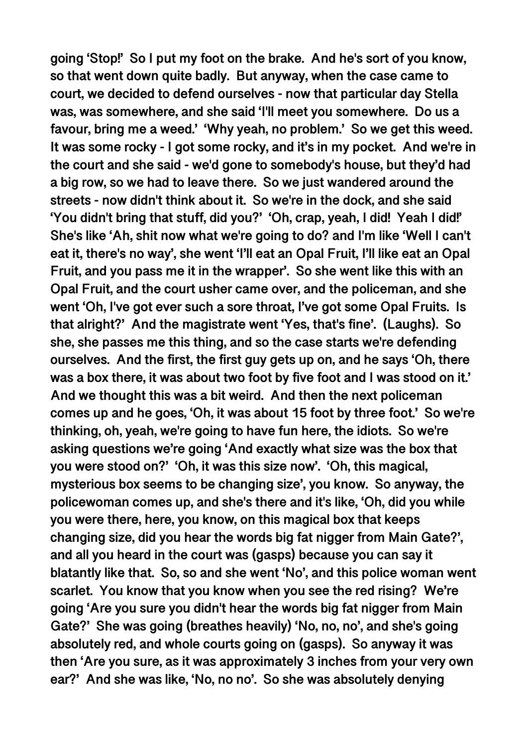**going 'Stop!' So I put my foot on the brake. And he's sort of you know, so that went down quite badly. But anyway, when the case came to court, we decided to defend ourselves - now that particular day Stella was, was somewhere, and she said 'I'll meet you somewhere. Do us a favour, bring me a weed.' 'Why yeah, no problem.' So we get this weed. It was some rocky - I got some rocky, and it's in my pocket. And we're in the court and she said - we'd gone to somebody's house, but they'd had a big row, so we had to leave there. So we just wandered around the streets - now didn't think about it. So we're in the dock, and she said 'You didn't bring that stuff, did you?' 'Oh, crap, yeah, I did! Yeah I did!' She's like 'Ah, shit now what we're going to do? and I'm like 'Well I can't eat it, there's no way', she went 'I'll eat an Opal Fruit, I'll like eat an Opal Fruit, and you pass me it in the wrapper'. So she went like this with an Opal Fruit, and the court usher came over, and the policeman, and she went 'Oh, I've got ever such a sore throat, I've got some Opal Fruits. Is that alright?' And the magistrate went 'Yes, that's fine'. (Laughs). So she, she passes me this thing, and so the case starts we're defending ourselves. And the first, the first guy gets up on, and he says 'Oh, there was a box there, it was about two foot by five foot and I was stood on it.' And we thought this was a bit weird. And then the next policeman comes up and he goes, 'Oh, it was about 15 foot by three foot.' So we're thinking, oh, yeah, we're going to have fun here, the idiots. So we're asking questions we're going 'And exactly what size was the box that you were stood on?' 'Oh, it was this size now'. 'Oh, this magical, mysterious box seems to be changing size', you know. So anyway, the policewoman comes up, and she's there and it's like, 'Oh, did you while you were there, here, you know, on this magical box that keeps changing size, did you hear the words big fat nigger from Main Gate?', and all you heard in the court was (gasps) because you can say it blatantly like that. So, so and she went 'No', and this police woman went scarlet. You know that you know when you see the red rising? We're going 'Are you sure you didn't hear the words big fat nigger from Main Gate?' She was going (breathes heavily) 'No, no, no', and she's going absolutely red, and whole courts going on (gasps). So anyway it was then 'Are you sure, as it was approximately 3 inches from your very own ear?' And she was like, 'No, no no'. So she was absolutely denying**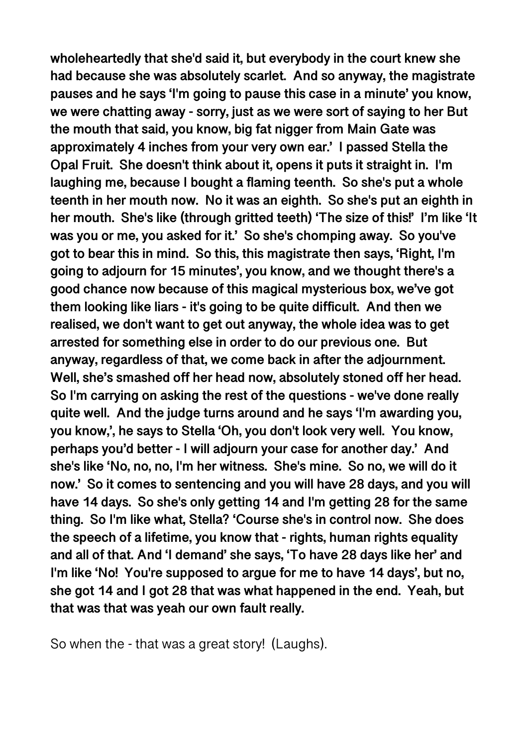**wholeheartedly that she'd said it, but everybody in the court knew she had because she was absolutely scarlet. And so anyway, the magistrate pauses and he says 'I'm going to pause this case in a minute' you know, we were chatting away - sorry, just as we were sort of saying to her But the mouth that said, you know, big fat nigger from Main Gate was approximately 4 inches from your very own ear.' I passed Stella the Opal Fruit. She doesn't think about it, opens it puts it straight in. I'm laughing me, because I bought a flaming teenth. So she's put a whole teenth in her mouth now. No it was an eighth. So she's put an eighth in her mouth. She's like (through gritted teeth) 'The size of this!' I'm like 'It was you or me, you asked for it.' So she's chomping away. So you've got to bear this in mind. So this, this magistrate then says, 'Right, I'm going to adjourn for 15 minutes', you know, and we thought there's a good chance now because of this magical mysterious box, we've got them looking like liars - it's going to be quite difficult. And then we realised, we don't want to get out anyway, the whole idea was to get arrested for something else in order to do our previous one. But anyway, regardless of that, we come back in after the adjournment. Well, she's smashed off her head now, absolutely stoned off her head. So I'm carrying on asking the rest of the questions - we've done really quite well. And the judge turns around and he says 'I'm awarding you, you know,', he says to Stella 'Oh, you don't look very well. You know, perhaps you'd better - I will adjourn your case for another day.' And she's like 'No, no, no, I'm her witness. She's mine. So no, we will do it now.' So it comes to sentencing and you will have 28 days, and you will have 14 days. So she's only getting 14 and I'm getting 28 for the same thing. So I'm like what, Stella? 'Course she's in control now. She does the speech of a lifetime, you know that - rights, human rights equality and all of that. And 'I demand' she says, 'To have 28 days like her' and I'm like 'No! You're supposed to argue for me to have 14 days', but no, she got 14 and I got 28 that was what happened in the end. Yeah, but that was that was yeah our own fault really.** 

So when the - that was a great story! (Laughs).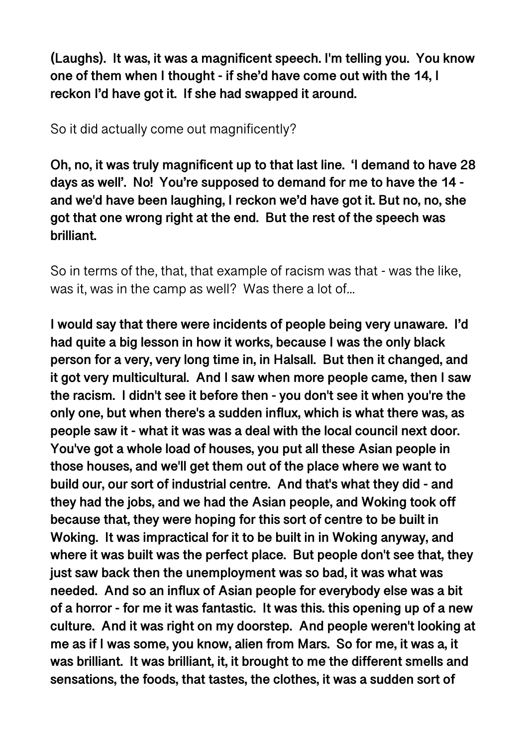**(Laughs). It was, it was a magnificent speech. I'm telling you. You know one of them when I thought - if she'd have come out with the 14, I reckon I'd have got it. If she had swapped it around.** 

So it did actually come out magnificently?

**Oh, no, it was truly magnificent up to that last line. 'I demand to have 28 days as well'. No! You're supposed to demand for me to have the 14 and we'd have been laughing, I reckon we'd have got it. But no, no, she got that one wrong right at the end. But the rest of the speech was brilliant.** 

So in terms of the, that, that example of racism was that - was the like, was it, was in the camp as well? Was there a lot of...

**I would say that there were incidents of people being very unaware. I'd had quite a big lesson in how it works, because I was the only black person for a very, very long time in, in Halsall. But then it changed, and it got very multicultural. And I saw when more people came, then I saw the racism. I didn't see it before then - you don't see it when you're the only one, but when there's a sudden influx, which is what there was, as people saw it - what it was was a deal with the local council next door. You've got a whole load of houses, you put all these Asian people in those houses, and we'll get them out of the place where we want to build our, our sort of industrial centre. And that's what they did - and they had the jobs, and we had the Asian people, and Woking took off because that, they were hoping for this sort of centre to be built in Woking. It was impractical for it to be built in in Woking anyway, and where it was built was the perfect place. But people don't see that, they just saw back then the unemployment was so bad, it was what was needed. And so an influx of Asian people for everybody else was a bit of a horror - for me it was fantastic. It was this. this opening up of a new culture. And it was right on my doorstep. And people weren't looking at me as if I was some, you know, alien from Mars. So for me, it was a, it was brilliant. It was brilliant, it, it brought to me the different smells and sensations, the foods, that tastes, the clothes, it was a sudden sort of**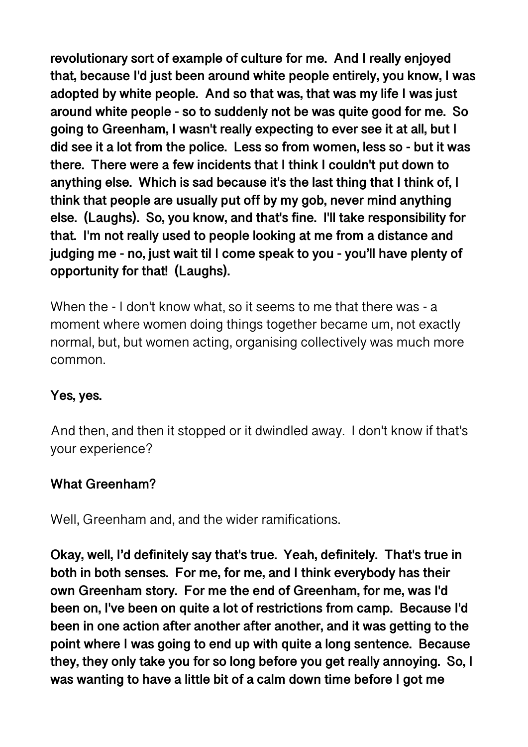**revolutionary sort of example of culture for me. And I really enjoyed that, because I'd just been around white people entirely, you know, I was adopted by white people. And so that was, that was my life I was just around white people - so to suddenly not be was quite good for me. So going to Greenham, I wasn't really expecting to ever see it at all, but I did see it a lot from the police. Less so from women, less so - but it was there. There were a few incidents that I think I couldn't put down to anything else. Which is sad because it's the last thing that I think of, I think that people are usually put off by my gob, never mind anything else. (Laughs). So, you know, and that's fine. I'll take responsibility for that. I'm not really used to people looking at me from a distance and judging me - no, just wait til I come speak to you - you'll have plenty of opportunity for that! (Laughs).** 

When the - I don't know what, so it seems to me that there was - a moment where women doing things together became um, not exactly normal, but, but women acting, organising collectively was much more common.

### **Yes, yes.**

And then, and then it stopped or it dwindled away. I don't know if that's your experience?

### **What Greenham?**

Well, Greenham and, and the wider ramifications.

**Okay, well, I'd definitely say that's true. Yeah, definitely. That's true in both in both senses. For me, for me, and I think everybody has their own Greenham story. For me the end of Greenham, for me, was I'd been on, I've been on quite a lot of restrictions from camp. Because I'd been in one action after another after another, and it was getting to the point where I was going to end up with quite a long sentence. Because they, they only take you for so long before you get really annoying. So, I was wanting to have a little bit of a calm down time before I got me**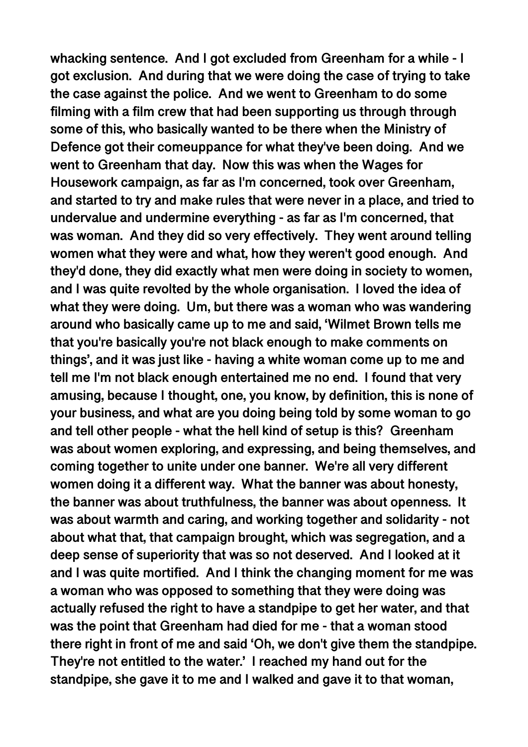**whacking sentence. And I got excluded from Greenham for a while - I got exclusion. And during that we were doing the case of trying to take the case against the police. And we went to Greenham to do some filming with a film crew that had been supporting us through through some of this, who basically wanted to be there when the Ministry of Defence got their comeuppance for what they've been doing. And we went to Greenham that day. Now this was when the Wages for Housework campaign, as far as I'm concerned, took over Greenham, and started to try and make rules that were never in a place, and tried to undervalue and undermine everything - as far as I'm concerned, that was woman. And they did so very effectively. They went around telling women what they were and what, how they weren't good enough. And they'd done, they did exactly what men were doing in society to women, and I was quite revolted by the whole organisation. I loved the idea of what they were doing. Um, but there was a woman who was wandering around who basically came up to me and said, 'Wilmet Brown tells me that you're basically you're not black enough to make comments on things', and it was just like - having a white woman come up to me and tell me I'm not black enough entertained me no end. I found that very amusing, because I thought, one, you know, by definition, this is none of your business, and what are you doing being told by some woman to go and tell other people - what the hell kind of setup is this? Greenham was about women exploring, and expressing, and being themselves, and coming together to unite under one banner. We're all very different women doing it a different way. What the banner was about honesty, the banner was about truthfulness, the banner was about openness. It was about warmth and caring, and working together and solidarity - not about what that, that campaign brought, which was segregation, and a deep sense of superiority that was so not deserved. And I looked at it and I was quite mortified. And I think the changing moment for me was a woman who was opposed to something that they were doing was actually refused the right to have a standpipe to get her water, and that was the point that Greenham had died for me - that a woman stood there right in front of me and said 'Oh, we don't give them the standpipe. They're not entitled to the water.' I reached my hand out for the standpipe, she gave it to me and I walked and gave it to that woman,**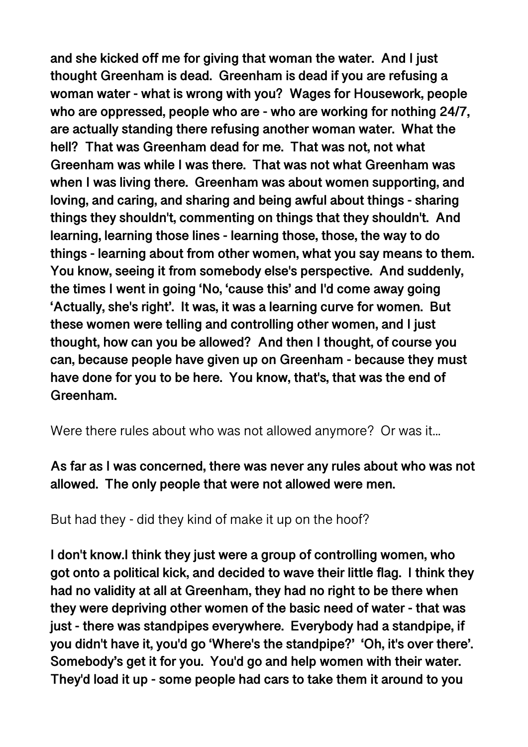**and she kicked off me for giving that woman the water. And I just thought Greenham is dead. Greenham is dead if you are refusing a woman water - what is wrong with you? Wages for Housework, people who are oppressed, people who are - who are working for nothing 24/7, are actually standing there refusing another woman water. What the hell? That was Greenham dead for me. That was not, not what Greenham was while I was there. That was not what Greenham was when I was living there. Greenham was about women supporting, and loving, and caring, and sharing and being awful about things - sharing things they shouldn't, commenting on things that they shouldn't. And learning, learning those lines - learning those, those, the way to do things - learning about from other women, what you say means to them. You know, seeing it from somebody else's perspective. And suddenly, the times I went in going 'No, 'cause this' and I'd come away going 'Actually, she's right'. It was, it was a learning curve for women. But these women were telling and controlling other women, and I just thought, how can you be allowed? And then I thought, of course you can, because people have given up on Greenham - because they must have done for you to be here. You know, that's, that was the end of Greenham.** 

Were there rules about who was not allowed anymore? Or was it...

**As far as I was concerned, there was never any rules about who was not allowed. The only people that were not allowed were men.** 

But had they - did they kind of make it up on the hoof?

**I don't know.I think they just were a group of controlling women, who got onto a political kick, and decided to wave their little flag. I think they had no validity at all at Greenham, they had no right to be there when they were depriving other women of the basic need of water - that was just - there was standpipes everywhere. Everybody had a standpipe, if you didn't have it, you'd go 'Where's the standpipe?' 'Oh, it's over there'. Somebody's get it for you. You'd go and help women with their water. They'd load it up - some people had cars to take them it around to you**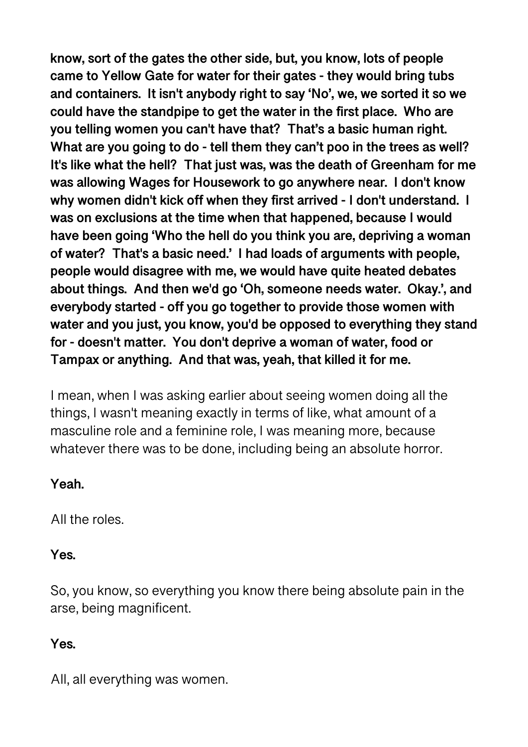**know, sort of the gates the other side, but, you know, lots of people came to Yellow Gate for water for their gates - they would bring tubs and containers. It isn't anybody right to say 'No', we, we sorted it so we could have the standpipe to get the water in the first place. Who are you telling women you can't have that? That's a basic human right. What are you going to do - tell them they can't poo in the trees as well? It's like what the hell? That just was, was the death of Greenham for me was allowing Wages for Housework to go anywhere near. I don't know why women didn't kick off when they first arrived - I don't understand. I was on exclusions at the time when that happened, because I would have been going 'Who the hell do you think you are, depriving a woman of water? That's a basic need.' I had loads of arguments with people, people would disagree with me, we would have quite heated debates about things. And then we'd go 'Oh, someone needs water. Okay.', and everybody started - off you go together to provide those women with water and you just, you know, you'd be opposed to everything they stand for - doesn't matter. You don't deprive a woman of water, food or Tampax or anything. And that was, yeah, that killed it for me.** 

I mean, when I was asking earlier about seeing women doing all the things, I wasn't meaning exactly in terms of like, what amount of a masculine role and a feminine role, I was meaning more, because whatever there was to be done, including being an absolute horror.

### **Yeah.**

All the roles.

# **Yes.**

So, you know, so everything you know there being absolute pain in the arse, being magnificent.

# **Yes.**

All, all everything was women.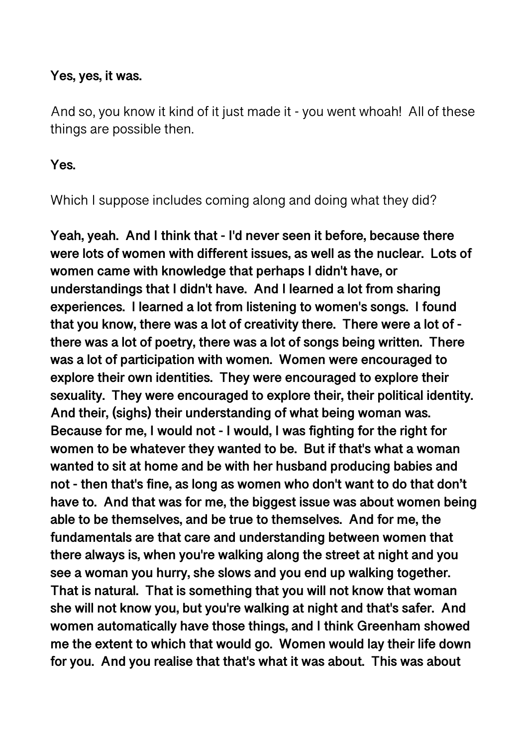### **Yes, yes, it was.**

And so, you know it kind of it just made it - you went whoah! All of these things are possible then.

#### **Yes.**

Which I suppose includes coming along and doing what they did?

**Yeah, yeah. And I think that - I'd never seen it before, because there were lots of women with different issues, as well as the nuclear. Lots of women came with knowledge that perhaps I didn't have, or understandings that I didn't have. And I learned a lot from sharing experiences. I learned a lot from listening to women's songs. I found that you know, there was a lot of creativity there. There were a lot of there was a lot of poetry, there was a lot of songs being written. There was a lot of participation with women. Women were encouraged to explore their own identities. They were encouraged to explore their sexuality. They were encouraged to explore their, their political identity. And their, (sighs) their understanding of what being woman was. Because for me, I would not - I would, I was fighting for the right for women to be whatever they wanted to be. But if that's what a woman wanted to sit at home and be with her husband producing babies and not - then that's fine, as long as women who don't want to do that don't have to. And that was for me, the biggest issue was about women being able to be themselves, and be true to themselves. And for me, the fundamentals are that care and understanding between women that there always is, when you're walking along the street at night and you see a woman you hurry, she slows and you end up walking together. That is natural. That is something that you will not know that woman she will not know you, but you're walking at night and that's safer. And women automatically have those things, and I think Greenham showed me the extent to which that would go. Women would lay their life down for you. And you realise that that's what it was about. This was about**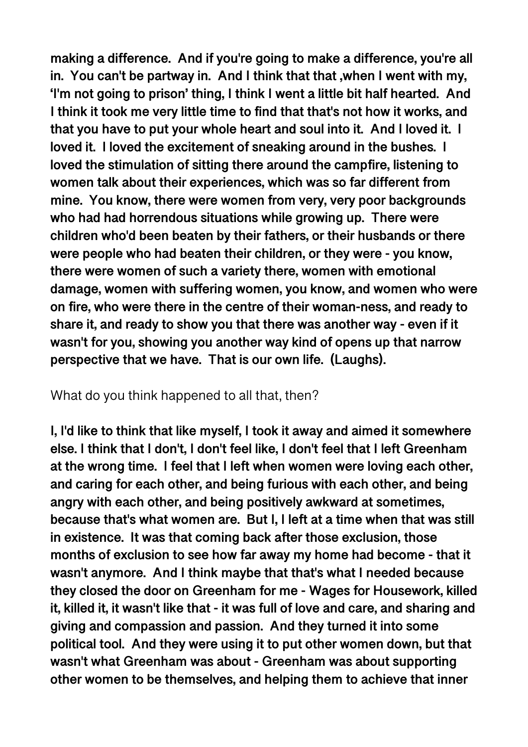**making a difference. And if you're going to make a difference, you're all in. You can't be partway in. And I think that that ,when I went with my, 'I'm not going to prison' thing, I think I went a little bit half hearted. And I think it took me very little time to find that that's not how it works, and that you have to put your whole heart and soul into it. And I loved it. I loved it. I loved the excitement of sneaking around in the bushes. I loved the stimulation of sitting there around the campfire, listening to women talk about their experiences, which was so far different from mine. You know, there were women from very, very poor backgrounds who had had horrendous situations while growing up. There were children who'd been beaten by their fathers, or their husbands or there were people who had beaten their children, or they were - you know, there were women of such a variety there, women with emotional damage, women with suffering women, you know, and women who were on fire, who were there in the centre of their woman-ness, and ready to share it, and ready to show you that there was another way - even if it wasn't for you, showing you another way kind of opens up that narrow perspective that we have. That is our own life. (Laughs).** 

#### What do you think happened to all that, then?

**I, I'd like to think that like myself, I took it away and aimed it somewhere else. I think that I don't, I don't feel like, I don't feel that I left Greenham at the wrong time. I feel that I left when women were loving each other, and caring for each other, and being furious with each other, and being angry with each other, and being positively awkward at sometimes, because that's what women are. But I, I left at a time when that was still in existence. It was that coming back after those exclusion, those months of exclusion to see how far away my home had become - that it wasn't anymore. And I think maybe that that's what I needed because they closed the door on Greenham for me - Wages for Housework, killed it, killed it, it wasn't like that - it was full of love and care, and sharing and giving and compassion and passion. And they turned it into some political tool. And they were using it to put other women down, but that wasn't what Greenham was about - Greenham was about supporting other women to be themselves, and helping them to achieve that inner**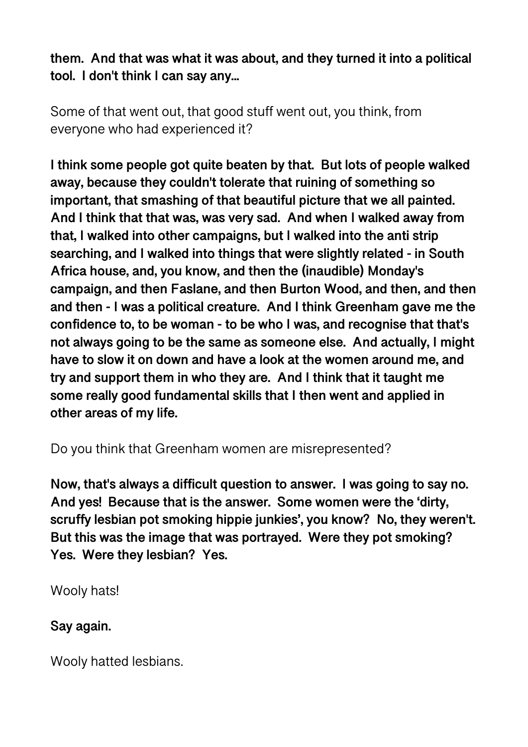**them. And that was what it was about, and they turned it into a political tool. I don't think I can say any...** 

Some of that went out, that good stuff went out, you think, from everyone who had experienced it?

**I think some people got quite beaten by that. But lots of people walked away, because they couldn't tolerate that ruining of something so important, that smashing of that beautiful picture that we all painted. And I think that that was, was very sad. And when I walked away from that, I walked into other campaigns, but I walked into the anti strip searching, and I walked into things that were slightly related - in South Africa house, and, you know, and then the (inaudible) Monday's campaign, and then Faslane, and then Burton Wood, and then, and then and then - I was a political creature. And I think Greenham gave me the confidence to, to be woman - to be who I was, and recognise that that's not always going to be the same as someone else. And actually, I might have to slow it on down and have a look at the women around me, and try and support them in who they are. And I think that it taught me some really good fundamental skills that I then went and applied in other areas of my life.** 

Do you think that Greenham women are misrepresented?

**Now, that's always a difficult question to answer. I was going to say no. And yes! Because that is the answer. Some women were the 'dirty, scruffy lesbian pot smoking hippie junkies', you know? No, they weren't. But this was the image that was portrayed. Were they pot smoking? Yes. Were they lesbian? Yes.** 

Wooly hats!

**Say again.** 

Wooly hatted lesbians.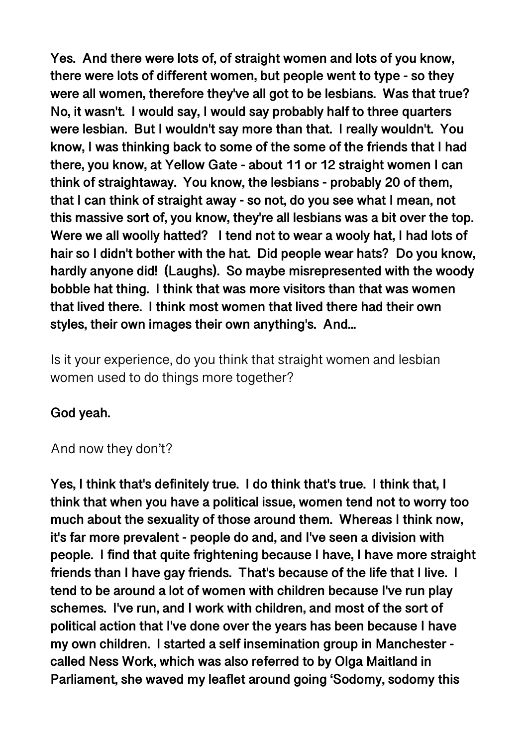**Yes. And there were lots of, of straight women and lots of you know, there were lots of different women, but people went to type - so they were all women, therefore they've all got to be lesbians. Was that true? No, it wasn't. I would say, I would say probably half to three quarters were lesbian. But I wouldn't say more than that. I really wouldn't. You know, I was thinking back to some of the some of the friends that I had there, you know, at Yellow Gate - about 11 or 12 straight women I can think of straightaway. You know, the lesbians - probably 20 of them, that I can think of straight away - so not, do you see what I mean, not this massive sort of, you know, they're all lesbians was a bit over the top. Were we all woolly hatted? I tend not to wear a wooly hat, I had lots of hair so I didn't bother with the hat. Did people wear hats? Do you know, hardly anyone did! (Laughs). So maybe misrepresented with the woody bobble hat thing. I think that was more visitors than that was women that lived there. I think most women that lived there had their own styles, their own images their own anything's. And...** 

Is it your experience, do you think that straight women and lesbian women used to do things more together?

# **God yeah.**

### And now they don't?

**Yes, I think that's definitely true. I do think that's true. I think that, I think that when you have a political issue, women tend not to worry too much about the sexuality of those around them. Whereas I think now, it's far more prevalent - people do and, and I've seen a division with people. I find that quite frightening because I have, I have more straight friends than I have gay friends. That's because of the life that I live. I tend to be around a lot of women with children because I've run play schemes. I've run, and I work with children, and most of the sort of political action that I've done over the years has been because I have my own children. I started a self insemination group in Manchester called Ness Work, which was also referred to by Olga Maitland in Parliament, she waved my leaflet around going 'Sodomy, sodomy this**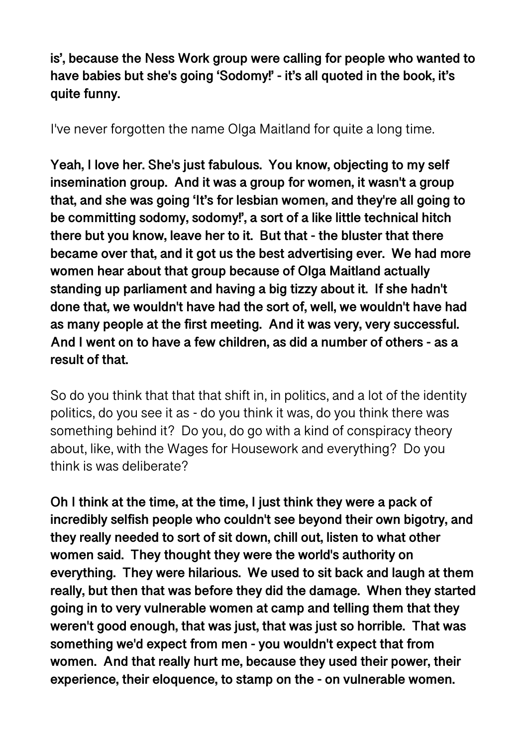**is', because the Ness Work group were calling for people who wanted to have babies but she's going 'Sodomy!' - it's all quoted in the book, it's quite funny.** 

I've never forgotten the name Olga Maitland for quite a long time.

**Yeah, I love her. She's just fabulous. You know, objecting to my self insemination group. And it was a group for women, it wasn't a group that, and she was going 'It's for lesbian women, and they're all going to be committing sodomy, sodomy!', a sort of a like little technical hitch there but you know, leave her to it. But that - the bluster that there became over that, and it got us the best advertising ever. We had more women hear about that group because of Olga Maitland actually standing up parliament and having a big tizzy about it. If she hadn't done that, we wouldn't have had the sort of, well, we wouldn't have had as many people at the first meeting. And it was very, very successful. And I went on to have a few children, as did a number of others - as a result of that.** 

So do you think that that that shift in, in politics, and a lot of the identity politics, do you see it as - do you think it was, do you think there was something behind it? Do you, do go with a kind of conspiracy theory about, like, with the Wages for Housework and everything? Do you think is was deliberate?

**Oh I think at the time, at the time, I just think they were a pack of incredibly selfish people who couldn't see beyond their own bigotry, and they really needed to sort of sit down, chill out, listen to what other women said. They thought they were the world's authority on everything. They were hilarious. We used to sit back and laugh at them really, but then that was before they did the damage. When they started going in to very vulnerable women at camp and telling them that they weren't good enough, that was just, that was just so horrible. That was something we'd expect from men - you wouldn't expect that from women. And that really hurt me, because they used their power, their experience, their eloquence, to stamp on the - on vulnerable women.**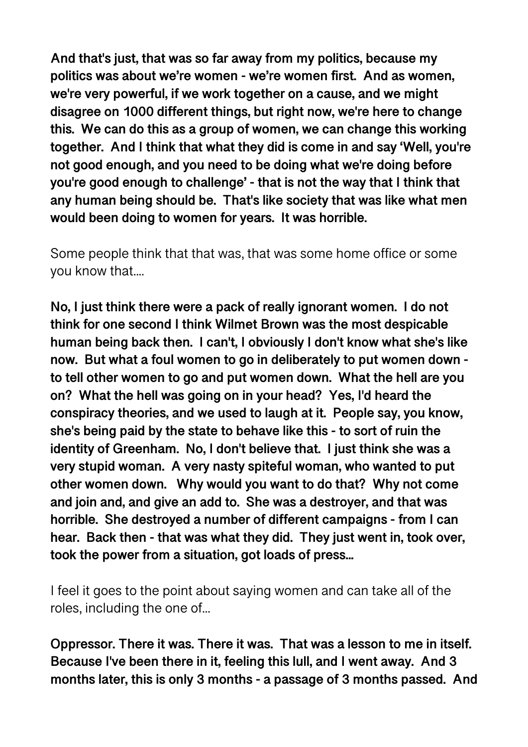**And that's just, that was so far away from my politics, because my politics was about we're women - we're women first. And as women, we're very powerful, if we work together on a cause, and we might disagree on 1000 different things, but right now, we're here to change this. We can do this as a group of women, we can change this working together. And I think that what they did is come in and say 'Well, you're not good enough, and you need to be doing what we're doing before you're good enough to challenge' - that is not the way that I think that any human being should be. That's like society that was like what men would been doing to women for years. It was horrible.** 

Some people think that that was, that was some home office or some you know that....

**No, I just think there were a pack of really ignorant women. I do not think for one second I think Wilmet Brown was the most despicable human being back then. I can't, I obviously I don't know what she's like now. But what a foul women to go in deliberately to put women down to tell other women to go and put women down. What the hell are you on? What the hell was going on in your head? Yes, I'd heard the conspiracy theories, and we used to laugh at it. People say, you know, she's being paid by the state to behave like this - to sort of ruin the identity of Greenham. No, I don't believe that. I just think she was a very stupid woman. A very nasty spiteful woman, who wanted to put other women down. Why would you want to do that? Why not come and join and, and give an add to. She was a destroyer, and that was horrible. She destroyed a number of different campaigns - from I can hear. Back then - that was what they did. They just went in, took over, took the power from a situation, got loads of press...** 

I feel it goes to the point about saying women and can take all of the roles, including the one of...

**Oppressor. There it was. There it was. That was a lesson to me in itself. Because I've been there in it, feeling this lull, and I went away. And 3 months later, this is only 3 months - a passage of 3 months passed. And**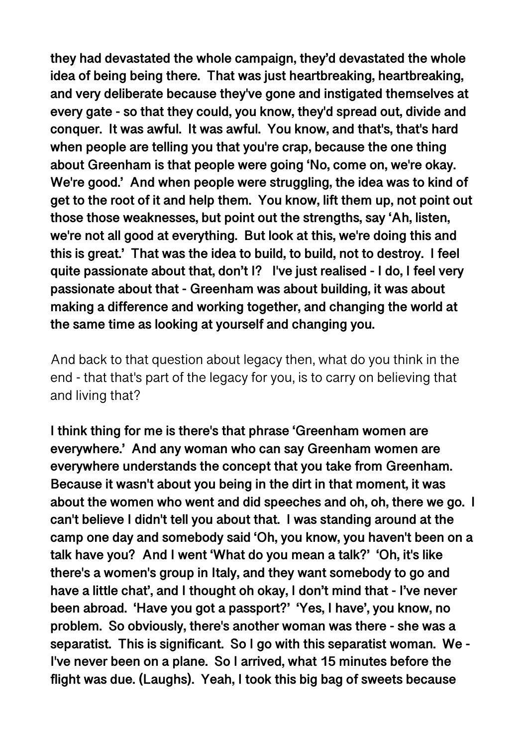**they had devastated the whole campaign, they'd devastated the whole idea of being being there. That was just heartbreaking, heartbreaking, and very deliberate because they've gone and instigated themselves at every gate - so that they could, you know, they'd spread out, divide and conquer. It was awful. It was awful. You know, and that's, that's hard when people are telling you that you're crap, because the one thing about Greenham is that people were going 'No, come on, we're okay. We're good.' And when people were struggling, the idea was to kind of get to the root of it and help them. You know, lift them up, not point out those those weaknesses, but point out the strengths, say 'Ah, listen, we're not all good at everything. But look at this, we're doing this and this is great.' That was the idea to build, to build, not to destroy. I feel quite passionate about that, don't I? I've just realised - I do, I feel very passionate about that - Greenham was about building, it was about making a difference and working together, and changing the world at the same time as looking at yourself and changing you.** 

And back to that question about legacy then, what do you think in the end - that that's part of the legacy for you, is to carry on believing that and living that?

**I think thing for me is there's that phrase 'Greenham women are everywhere.' And any woman who can say Greenham women are everywhere understands the concept that you take from Greenham. Because it wasn't about you being in the dirt in that moment, it was about the women who went and did speeches and oh, oh, there we go. I can't believe I didn't tell you about that. I was standing around at the camp one day and somebody said 'Oh, you know, you haven't been on a talk have you? And I went 'What do you mean a talk?' 'Oh, it's like there's a women's group in Italy, and they want somebody to go and have a little chat', and I thought oh okay, I don't mind that - I've never been abroad. 'Have you got a passport?' 'Yes, I have', you know, no problem. So obviously, there's another woman was there - she was a separatist. This is significant. So I go with this separatist woman. We - I've never been on a plane. So I arrived, what 15 minutes before the flight was due. (Laughs). Yeah, I took this big bag of sweets because**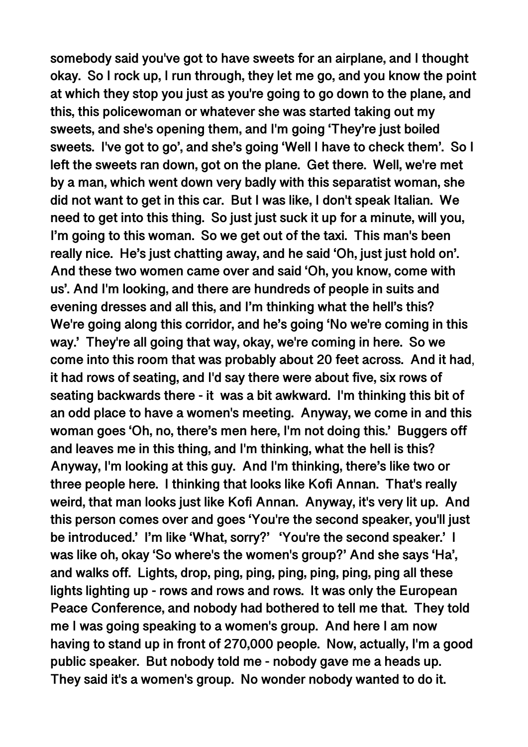**somebody said you've got to have sweets for an airplane, and I thought okay. So I rock up, I run through, they let me go, and you know the point at which they stop you just as you're going to go down to the plane, and this, this policewoman or whatever she was started taking out my sweets, and she's opening them, and I'm going 'They're just boiled sweets. I've got to go', and she's going 'Well I have to check them'. So I left the sweets ran down, got on the plane. Get there. Well, we're met by a man, which went down very badly with this separatist woman, she did not want to get in this car. But I was like, I don't speak Italian. We need to get into this thing. So just just suck it up for a minute, will you, I'm going to this woman. So we get out of the taxi. This man's been really nice. He's just chatting away, and he said 'Oh, just just hold on'. And these two women came over and said 'Oh, you know, come with us'. And I'm looking, and there are hundreds of people in suits and evening dresses and all this, and I'm thinking what the hell's this? We're going along this corridor, and he's going 'No we're coming in this way.' They're all going that way, okay, we're coming in here. So we come into this room that was probably about 20 feet across. And it had**, **it had rows of seating, and I'd say there were about five, six rows of seating backwards there - it was a bit awkward. I'm thinking this bit of an odd place to have a women's meeting. Anyway, we come in and this woman goes 'Oh, no, there's men here, I'm not doing this.' Buggers off and leaves me in this thing, and I'm thinking, what the hell is this? Anyway, I'm looking at this guy. And I'm thinking, there's like two or three people here. I thinking that looks like Kofi Annan. That's really weird, that man looks just like Kofi Annan. Anyway, it's very lit up. And this person comes over and goes 'You're the second speaker, you'll just be introduced.' I'm like 'What, sorry?' 'You're the second speaker.' I was like oh, okay 'So where's the women's group?' And she says 'Ha', and walks off. Lights, drop, ping, ping, ping, ping, ping, ping all these lights lighting up - rows and rows and rows. It was only the European Peace Conference, and nobody had bothered to tell me that. They told me I was going speaking to a women's group. And here I am now having to stand up in front of 270,000 people. Now, actually, I'm a good public speaker. But nobody told me - nobody gave me a heads up. They said it's a women's group. No wonder nobody wanted to do it.**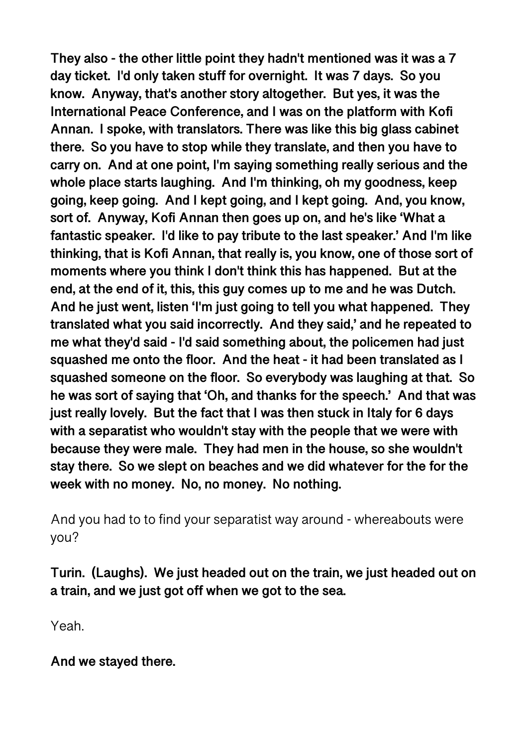**They also - the other little point they hadn't mentioned was it was a 7 day ticket. I'd only taken stuff for overnight. It was 7 days. So you know. Anyway, that's another story altogether. But yes, it was the International Peace Conference, and I was on the platform with Kofi Annan. I spoke, with translators. There was like this big glass cabinet there. So you have to stop while they translate, and then you have to carry on. And at one point, I'm saying something really serious and the whole place starts laughing. And I'm thinking, oh my goodness, keep going, keep going. And I kept going, and I kept going. And, you know, sort of. Anyway, Kofi Annan then goes up on, and he's like 'What a fantastic speaker. I'd like to pay tribute to the last speaker.' And I'm like thinking, that is Kofi Annan, that really is, you know, one of those sort of moments where you think I don't think this has happened. But at the end, at the end of it, this, this guy comes up to me and he was Dutch. And he just went, listen 'I'm just going to tell you what happened. They translated what you said incorrectly. And they said,' and he repeated to me what they'd said - I'd said something about, the policemen had just squashed me onto the floor. And the heat - it had been translated as I squashed someone on the floor. So everybody was laughing at that. So he was sort of saying that 'Oh, and thanks for the speech.' And that was just really lovely. But the fact that I was then stuck in Italy for 6 days with a separatist who wouldn't stay with the people that we were with because they were male. They had men in the house, so she wouldn't stay there. So we slept on beaches and we did whatever for the for the week with no money. No, no money. No nothing.** 

And you had to to find your separatist way around - whereabouts were you?

**Turin. (Laughs). We just headed out on the train, we just headed out on a train, and we just got off when we got to the sea.** 

Yeah.

**And we stayed there.**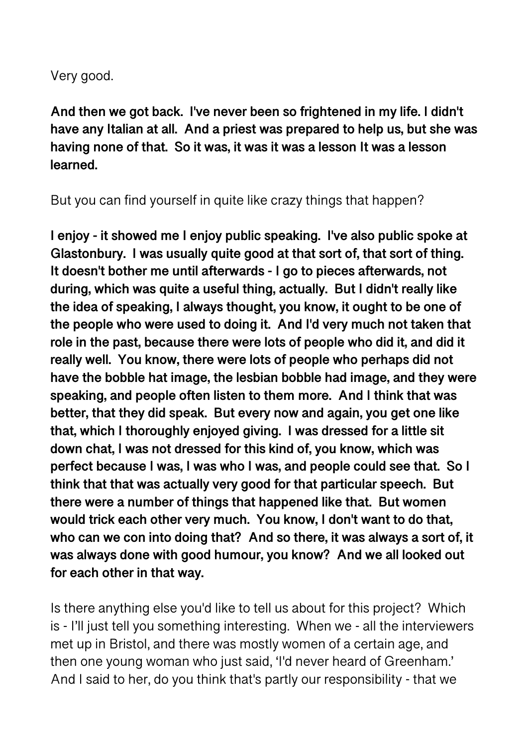Very good.

**And then we got back. I've never been so frightened in my life. I didn't have any Italian at all. And a priest was prepared to help us, but she was having none of that. So it was, it was it was a lesson It was a lesson learned.** 

But you can find yourself in quite like crazy things that happen?

**I enjoy - it showed me I enjoy public speaking. I've also public spoke at Glastonbury. I was usually quite good at that sort of, that sort of thing. It doesn't bother me until afterwards - I go to pieces afterwards, not during, which was quite a useful thing, actually. But I didn't really like the idea of speaking, I always thought, you know, it ought to be one of the people who were used to doing it. And I'd very much not taken that role in the past, because there were lots of people who did it, and did it really well. You know, there were lots of people who perhaps did not have the bobble hat image, the lesbian bobble had image, and they were speaking, and people often listen to them more. And I think that was better, that they did speak. But every now and again, you get one like that, which I thoroughly enjoyed giving. I was dressed for a little sit down chat, I was not dressed for this kind of, you know, which was perfect because I was, I was who I was, and people could see that. So I think that that was actually very good for that particular speech. But there were a number of things that happened like that. But women would trick each other very much. You know, I don't want to do that, who can we con into doing that? And so there, it was always a sort of, it was always done with good humour, you know? And we all looked out for each other in that way.** 

Is there anything else you'd like to tell us about for this project? Which is - I'll just tell you something interesting. When we - all the interviewers met up in Bristol, and there was mostly women of a certain age, and then one young woman who just said, 'I'd never heard of Greenham.' And I said to her, do you think that's partly our responsibility - that we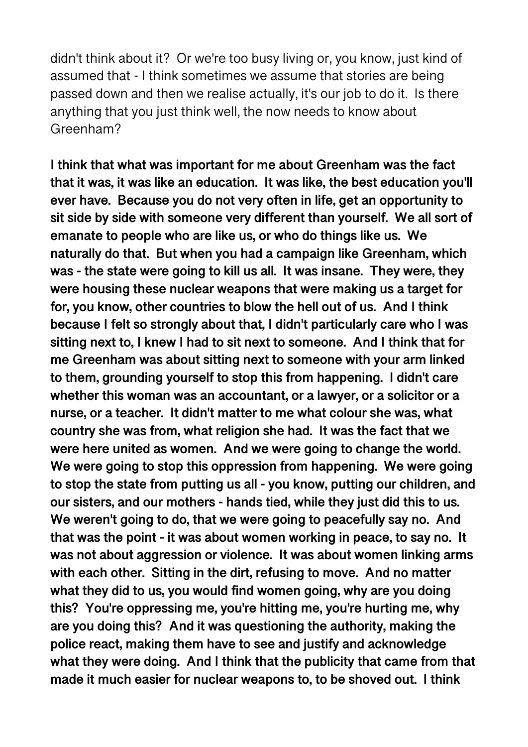didn't think about it? Or we're too busy living or, you know, just kind of assumed that - I think sometimes we assume that stories are being passed down and then we realise actually, it's our job to do it. Is there anything that you just think well, the now needs to know about Greenham?

**I think that what was important for me about Greenham was the fact that it was, it was like an education. It was like, the best education you'll ever have. Because you do not very often in life, get an opportunity to sit side by side with someone very different than yourself. We all sort of emanate to people who are like us, or who do things like us. We naturally do that. But when you had a campaign like Greenham, which was - the state were going to kill us all. It was insane. They were, they were housing these nuclear weapons that were making us a target for for, you know, other countries to blow the hell out of us. And I think because I felt so strongly about that, I didn't particularly care who I was sitting next to, I knew I had to sit next to someone. And I think that for me Greenham was about sitting next to someone with your arm linked to them, grounding yourself to stop this from happening. I didn't care whether this woman was an accountant, or a lawyer, or a solicitor or a nurse, or a teacher. It didn't matter to me what colour she was, what country she was from, what religion she had. It was the fact that we were here united as women. And we were going to change the world. We were going to stop this oppression from happening. We were going to stop the state from putting us all - you know, putting our children, and our sisters, and our mothers - hands tied, while they just did this to us. We weren't going to do, that we were going to peacefully say no. And that was the point - it was about women working in peace, to say no. It was not about aggression or violence. It was about women linking arms with each other. Sitting in the dirt, refusing to move. And no matter what they did to us, you would find women going, why are you doing this? You're oppressing me, you're hitting me, you're hurting me, why are you doing this? And it was questioning the authority, making the police react, making them have to see and justify and acknowledge what they were doing. And I think that the publicity that came from that made it much easier for nuclear weapons to, to be shoved out. I think**